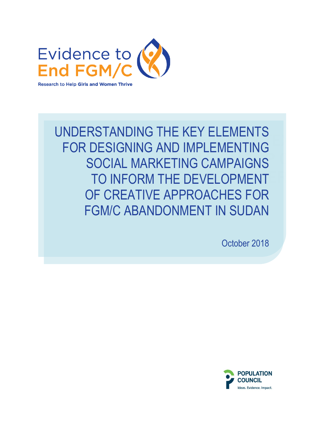

IL ISLI LLLIVILIVIO<br>JD IMPI FMFNTING SOCIAL MARKETING CAMPAIGNS TO INFORM THE DEVELOPMENT UNDERSTANDING THE KEY ELEMENTS FOR DESIGNING AND IMPLEMENTING OF CREATIVE APPROACHES FOR FGM/C ABANDONMENT IN SUDAN

October 2018

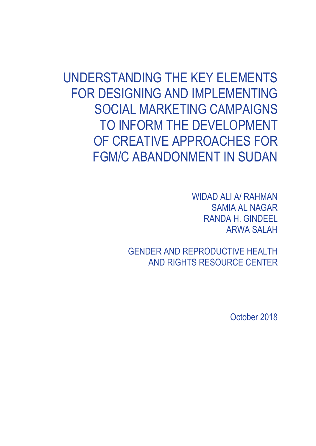UNDERSTANDING THE KEY ELEMENTS FOR DESIGNING AND IMPLEMENTING SOCIAL MARKETING CAMPAIGNS TO INFORM THE DEVELOPMENT OF CREATIVE APPROACHES FOR FGM/C ABANDONMENT IN SUDAN

> WIDAD ALI A/ RAHMAN SAMIA AL NAGAR RANDA H. GINDEEL ARWA SALAH

GENDER AND REPRODUCTIVE HEALTH AND RIGHTS RESOURCE CENTER

October 2018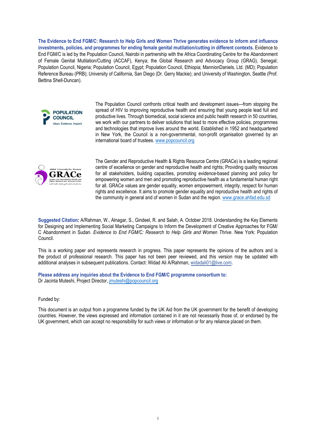**The Evidence to End FGM/C: Research to Help Girls and Women Thrive generates evidence to inform and influence investments, policies, and programmes for ending female genital mutilation/cutting in different contexts.** Evidence to End FGM/C is led by the Population Council, Nairobi in partnership with the Africa Coordinating Centre for the Abandonment of Female Genital Mutilation/Cutting (ACCAF), Kenya; the Global Research and Advocacy Group (GRAG), Senegal; Population Council, Nigeria; Population Council, Egypt; Population Council, Ethiopia; MannionDaniels, Ltd. (MD); Population Reference Bureau (PRB); University of California, San Diego (Dr. Gerry Mackie); and University of Washington, Seattle (Prof. Bettina Shell-Duncan).



The Population Council confronts critical health and development issues—from stopping the spread of HIV to improving reproductive health and ensuring that young people lead full and productive lives. Through biomedical, social science and public health research in 50 countries, we work with our partners to deliver solutions that lead to more effective policies, programmes and technologies that improve lives around the world. Established in 1952 and headquartered in New York, the Council is a non-governmental, non-profit organisation governed by an international board of trustees. [www.popcouncil.org](http://www.popcouncil.org/)



The Gender and Reproductive Health & Rights Resource Centre (GRACe) is a leading regional centre of excellence on gender and reproductive health and rights; Providing quality resources for all stakeholders, building capacities, promoting evidence-based planning and policy for empowering women and men and promoting reproductive health as a fundamental human right for all. GRACe values are gender equality, women empowerment, integrity, respect for human rights and excellence. It aims to promote gender equality and reproductive health and rights of the community in general and of women in Sudan and the region. www.grace.ahfad.edu.sd

**Suggested Citation:** A/Rahman, W., Alnagar, S., Gindeel, R. and Salah, A. October 2018. Understanding the Key Elements for Designing and Implementing Social Marketing Campaigns to Inform the Development of Creative Approaches for FGM/ C Abandonment in Sudan*. Evidence to End FGM/C: Research to Help* Girls and *Women Thrive*. New York: Population Council.

This is a working paper and represents research in progress. This paper represents the opinions of the authors and is the product of professional research. This paper has not been peer reviewed, and this version may be updated with additional analyses in subsequent publications. Contact: Widad Ali A/Rahman[, widadali01@live.com.](mailto:widadali01@live.com) 

**Please address any inquiries abo[ut the Evidence](mailto:jmuteshi@popcouncil.org) to End FGM/C programme consortium to:**  Dr Jacinta Muteshi, Project Director, jmuteshi@popcouncil.org

Funded by:

This document is an output from a programme funded by the UK Aid from the UK government for the benefit of developing countries. However, the views expressed and information contained in it are not necessarily those of, or endorsed by the UK government, which can accept no responsibility for such views or information or for any reliance placed on them.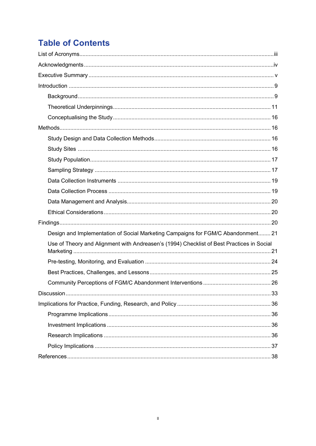# **Table of Contents**

| Design and Implementation of Social Marketing Campaigns for FGM/C Abandonment 21          |  |
|-------------------------------------------------------------------------------------------|--|
| Use of Theory and Alignment with Andreasen's (1994) Checklist of Best Practices in Social |  |
|                                                                                           |  |
|                                                                                           |  |
|                                                                                           |  |
|                                                                                           |  |
|                                                                                           |  |
|                                                                                           |  |
|                                                                                           |  |
|                                                                                           |  |
|                                                                                           |  |
|                                                                                           |  |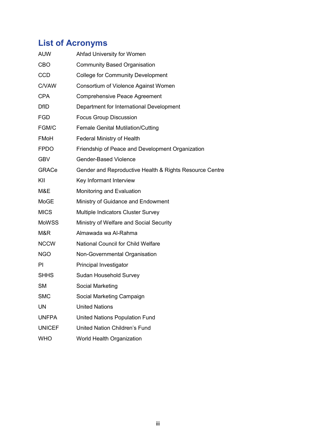# <span id="page-4-0"></span>**List of Acronyms**

| <b>AUW</b>    | Ahfad University for Women                              |
|---------------|---------------------------------------------------------|
| CBO           | <b>Community Based Organisation</b>                     |
| <b>CCD</b>    | <b>College for Community Development</b>                |
| <b>C/VAW</b>  | Consortium of Violence Against Women                    |
| <b>CPA</b>    | <b>Comprehensive Peace Agreement</b>                    |
| <b>DfID</b>   | Department for International Development                |
| <b>FGD</b>    | <b>Focus Group Discussion</b>                           |
| FGM/C         | <b>Female Genital Mutilation/Cutting</b>                |
| FMoH          | <b>Federal Ministry of Health</b>                       |
| <b>FPDO</b>   | Friendship of Peace and Development Organization        |
| <b>GBV</b>    | <b>Gender-Based Violence</b>                            |
| <b>GRACe</b>  | Gender and Reproductive Health & Rights Resource Centre |
| KII           | Key Informant Interview                                 |
| M&E           | Monitoring and Evaluation                               |
| MoGE          | Ministry of Guidance and Endowment                      |
| <b>MICS</b>   | Multiple Indicators Cluster Survey                      |
| <b>MoWSS</b>  | Ministry of Welfare and Social Security                 |
| M&R           | Almawada wa Al-Rahma                                    |
| <b>NCCW</b>   | <b>National Council for Child Welfare</b>               |
| <b>NGO</b>    | Non-Governmental Organisation                           |
| PI            | Principal Investigator                                  |
| <b>SHHS</b>   | Sudan Household Survey                                  |
| <b>SM</b>     | Social Marketing                                        |
| <b>SMC</b>    | Social Marketing Campaign                               |
| <b>UN</b>     | <b>United Nations</b>                                   |
| <b>UNFPA</b>  | United Nations Population Fund                          |
| <b>UNICEF</b> | United Nation Children's Fund                           |
| <b>WHO</b>    | World Health Organization                               |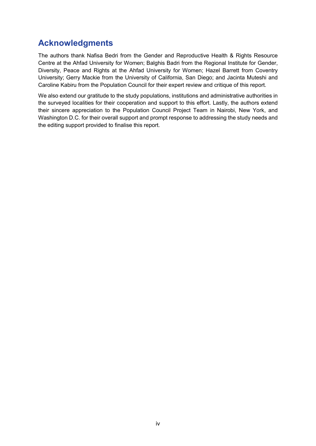## <span id="page-5-0"></span>**Acknowledgments**

The authors thank Nafisa Bedri from the Gender and Reproductive Health & Rights Resource Centre at the Ahfad University for Women; Balghis Badri from the Regional Institute for Gender, Diversity, Peace and Rights at the Ahfad University for Women; Hazel Barrett from Coventry University; Gerry Mackie from the University of California, San Diego; and Jacinta Muteshi and Caroline Kabiru from the Population Council for their expert review and critique of this report.

We also extend our gratitude to the study populations, institutions and administrative authorities in the surveyed localities for their cooperation and support to this effort. Lastly, the authors extend their sincere appreciation to the Population Council Project Team in Nairobi, New York, and Washington D.C. for their overall support and prompt response to addressing the study needs and the editing support provided to finalise this report.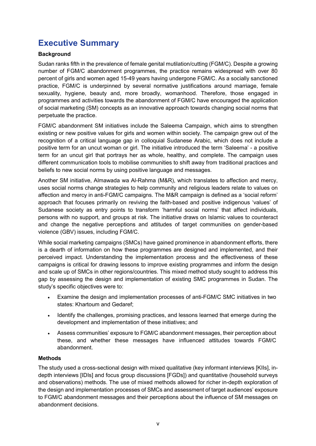## <span id="page-6-0"></span>**Executive Summary**

### **Background**

Sudan ranks fifth in the prevalence of female genital mutilation/cutting (FGM/C). Despite a growing number of FGM/C abandonment programmes, the practice remains widespread with over 80 percent of girls and women aged 15-49 years having undergone FGM/C. As a socially sanctioned practice, FGM/C is underpinned by several normative justifications around marriage, female sexuality, hygiene, beauty and, more broadly, womanhood. Therefore, those engaged in programmes and activities towards the abandonment of FGM/C have encouraged the application of social marketing (SM) concepts as an innovative approach towards changing social norms that perpetuate the practice.

FGM/C abandonment SM initiatives include the Saleema Campaign, which aims to strengthen existing or new positive values for girls and women within society. The campaign grew out of the recognition of a critical language gap in colloquial Sudanese Arabic, which does not include a positive term for an uncut woman or girl. The initiative introduced the term 'Saleema' - a positive term for an uncut girl that portrays her as whole, healthy, and complete. The campaign uses different communication tools to mobilise communities to shift away from traditional practices and beliefs to new social norms by using positive language and messages.

Another SM initiative, Almawada wa Al-Rahma (M&R), which translates to affection and mercy, uses social norms change strategies to help community and religious leaders relate to values on affection and mercy in anti-FGM/C campaigns. The M&R campaign is defined as a 'social reform' approach that focuses primarily on reviving the faith-based and positive indigenous 'values' of Sudanese society as entry points to transform 'harmful social norms' that affect individuals, persons with no support, and groups at risk. The initiative draws on Islamic values to counteract and change the negative perceptions and attitudes of target communities on gender-based violence (GBV) issues, including FGM/C.

While social marketing campaigns (SMCs) have gained prominence in abandonment efforts, there is a dearth of information on how these programmes are designed and implemented, and their perceived impact. Understanding the implementation process and the effectiveness of these campaigns is critical for drawing lessons to improve existing programmes and inform the design and scale up of SMCs in other regions/countries. This mixed method study sought to address this gap by assessing the design and implementation of existing SMC programmes in Sudan. The study's specific objectives were to:

- Examine the design and implementation processes of anti-FGM/C SMC initiatives in two states: Khartoum and Gedaref;
- Identify the challenges, promising practices, and lessons learned that emerge during the development and implementation of these initiatives; and
- Assess communities' exposure to FGM/C abandonment messages, their perception about these, and whether these messages have influenced attitudes towards FGM/C abandonment.

### **Methods**

The study used a cross-sectional design with mixed qualitative (key informant interviews [KIIs], indepth interviews [IDIs] and focus group discussions [FGDs]) and quantitative (household surveys and observations) methods. The use of mixed methods allowed for richer in-depth exploration of the design and implementation processes of SMCs and assessment of target audiences' exposure to FGM/C abandonment messages and their perceptions about the influence of SM messages on abandonment decisions.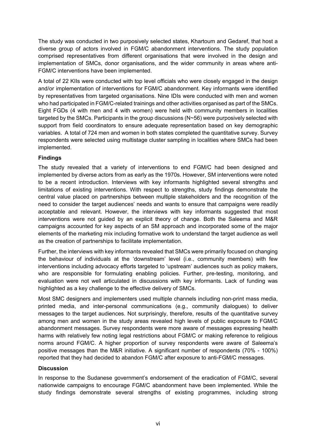The study was conducted in two purposively selected states, Khartoum and Gedaref, that host a diverse group of actors involved in FGM/C abandonment interventions. The study population comprised representatives from different organisations that were involved in the design and implementation of SMCs, donor organisations, and the wider community in areas where anti-FGM/C interventions have been implemented.

A total of 22 KIIs were conducted with top level officials who were closely engaged in the design and/or implementation of interventions for FGM/C abandonment. Key informants were identified by representatives from targeted organisations. Nine IDIs were conducted with men and women who had participated in FGM/C-related trainings and other activities organised as part of the SMCs. Eight FGDs (4 with men and 4 with women) were held with community members in localities targeted by the SMCs. Participants in the group discussions (N~56) were purposively selected with support from field coordinators to ensure adequate representation based on key demographic variables. A total of 724 men and women in both states completed the quantitative survey. Survey respondents were selected using multistage cluster sampling in localities where SMCs had been implemented.

### **Findings**

The study revealed that a variety of interventions to end FGM/C had been designed and implemented by diverse actors from as early as the 1970s. However, SM interventions were noted to be a recent introduction. Interviews with key informants highlighted several strengths and limitations of existing interventions. With respect to strengths, study findings demonstrate the central value placed on partnerships between multiple stakeholders and the recognition of the need to consider the target audiences' needs and wants to ensure that campaigns were readily acceptable and relevant. However, the interviews with key informants suggested that most interventions were not guided by an explicit theory of change. Both the Saleema and M&R campaigns accounted for key aspects of an SM approach and incorporated some of the major elements of the marketing mix including formative work to understand the target audience as well as the creation of partnerships to facilitate implementation.

Further, the interviews with key informants revealed that SMCs were primarily focused on changing the behaviour of individuals at the 'downstream' level (i.e., community members) with few interventions including advocacy efforts targeted to 'upstream' audiences such as policy makers, who are responsible for formulating enabling policies. Further, pre-testing, monitoring, and evaluation were not well articulated in discussions with key informants. Lack of funding was highlighted as a key challenge to the effective delivery of SMCs.

Most SMC designers and implementers used multiple channels including non-print mass media, printed media, and inter-personal communications (e.g., community dialogues) to deliver messages to the target audiences. Not surprisingly, therefore, results of the quantitative survey among men and women in the study areas revealed high levels of public exposure to FGM/C abandonment messages. Survey respondents were more aware of messages expressing health harms with relatively few noting legal restrictions about FGM/C or making reference to religious norms around FGM/C. A higher proportion of survey respondents were aware of Saleema's positive messages than the M&R initiative. A significant number of respondents (70% - 100%) reported that they had decided to abandon FGM/C after exposure to anti-FGM/C messages.

### **Discussion**

In response to the Sudanese government's endorsement of the eradication of FGM/C, several nationwide campaigns to encourage FGM/C abandonment have been implemented. While the study findings demonstrate several strengths of existing programmes, including strong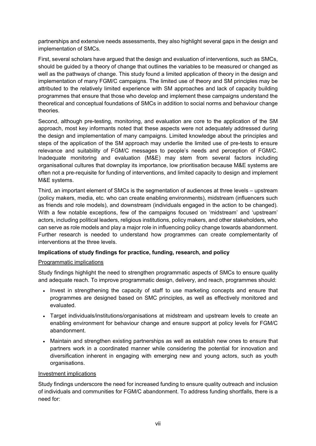partnerships and extensive needs assessments, they also highlight several gaps in the design and implementation of SMCs.

First, several scholars have argued that the design and evaluation of interventions, such as SMCs, should be guided by a theory of change that outlines the variables to be measured or changed as well as the pathways of change. This study found a limited application of theory in the design and implementation of many FGM/C campaigns. The limited use of theory and SM principles may be attributed to the relatively limited experience with SM approaches and lack of capacity building programmes that ensure that those who develop and implement these campaigns understand the theoretical and conceptual foundations of SMCs in addition to social norms and behaviour change theories.

Second, although pre-testing, monitoring, and evaluation are core to the application of the SM approach, most key informants noted that these aspects were not adequately addressed during the design and implementation of many campaigns. Limited knowledge about the principles and steps of the application of the SM approach may underlie the limited use of pre-tests to ensure relevance and suitability of FGM/C messages to people's needs and perception of FGM/C. Inadequate monitoring and evaluation (M&E) may stem from several factors including organisational cultures that downplay its importance, low prioritisation because M&E systems are often not a pre-requisite for funding of interventions, and limited capacity to design and implement M&E systems.

Third, an important element of SMCs is the segmentation of audiences at three levels – upstream (policy makers, media, etc. who can create enabling environments), midstream (influencers such as friends and role models), and downstream (individuals engaged in the action to be changed). With a few notable exceptions, few of the campaigns focused on 'midstream' and 'upstream' actors, including political leaders, religious institutions, policy makers, and other stakeholders, who can serve as role models and play a major role in influencing policy change towards abandonment. Further research is needed to understand how programmes can create complementarity of interventions at the three levels.

### **Implications of study findings for practice, funding, research, and policy**

### Programmatic implications

Study findings highlight the need to strengthen programmatic aspects of SMCs to ensure quality and adequate reach. To improve programmatic design, delivery, and reach, programmes should:

- Invest in strengthening the capacity of staff to use marketing concepts and ensure that programmes are designed based on SMC principles, as well as effectively monitored and evaluated.
- Target individuals/institutions/organisations at midstream and upstream levels to create an enabling environment for behaviour change and ensure support at policy levels for FGM/C abandonment.
- Maintain and strengthen existing partnerships as well as establish new ones to ensure that partners work in a coordinated manner while considering the potential for innovation and diversification inherent in engaging with emerging new and young actors, such as youth organisations.

### Investment implications

Study findings underscore the need for increased funding to ensure quality outreach and inclusion of individuals and communities for FGM/C abandonment. To address funding shortfalls, there is a need for: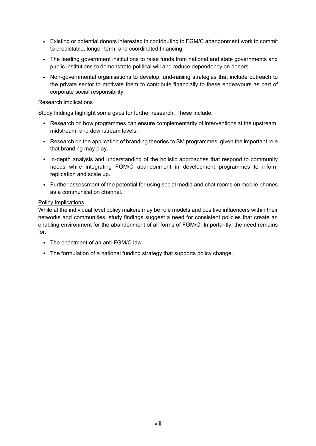- Existing or potential donors interested in contributing to FGM/C abandonment work to commit to predictable, longer-term, and coordinated financing.
- The leading government institutions to raise funds from national and state governments and public institutions to demonstrate political will and reduce dependency on donors.
- Non-governmental organisations to develop fund-raising strategies that include outreach to the private sector to motivate them to contribute financially to these endeavours as part of corporate social responsibility.

#### Research implications

Study findings highlight some gaps for further research. These include:

- Research on how programmes can ensure complementarity of interventions at the upstream, midstream, and downstream levels.
- Research on the application of branding theories to SM programmes, given the important role that branding may play.
- In-depth analysis and understanding of the holistic approaches that respond to community needs while integrating FGM/C abandonment in development programmes to inform replication and scale up.
- Further assessment of the potential for using social media and chat rooms on mobile phones as a communication channel.

#### Policy Implications

While at the individual level policy makers may be role models and positive influencers within their networks and communities, study findings suggest a need for consistent policies that create an enabling environment for the abandonment of all forms of FGM/C. Importantly, the need remains for:

- The enactment of an anti-FGM/C law.
- The formulation of a national funding strategy that supports policy change.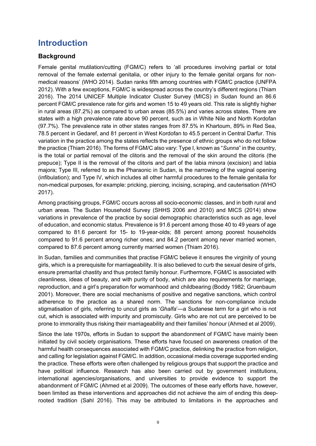## <span id="page-10-0"></span>**Introduction**

## <span id="page-10-1"></span>**Background**

Female genital mutilation/cutting (FGM/C) refers to 'all procedures involving partial or total removal of the female external genitalia, or other injury to the female genital organs for nonmedical reasons' (WHO 2014). Sudan ranks fifth among countries with FGM/C practice (UNFPA 2012). With a few exceptions, FGM/C is widespread across the country's different regions (Thiam 2016). The 2014 UNICEF Multiple Indicator Cluster Survey (MICS) in Sudan found an 86.6 percent FGM/C prevalence rate for girls and women 15 to 49 years old. This rate is slightly higher in rural areas (87.2%) as compared to urban areas (85.5%) and varies across states. There are states with a high prevalence rate above 90 percent, such as in White Nile and North Kordofan (97.7%). The prevalence rate in other states ranges from 87.5% in Khartoum, 89% in Red Sea, 78.5 percent in Gedaref, and 81 percent in West Kordofan to 45.5 percent in Central Darfur. This variation in the practice among the states reflects the presence of ethnic groups who do not follow the practice (Thiam 2016). The forms of FGM/C also vary: Type I, known as "*Sunna*" in the country, is the total or partial removal of the clitoris and the removal of the skin around the clitoris (the prepuce); Type II is the removal of the clitoris and part of the labia minora (excision) and labia majora; Type III, referred to as the Pharaonic in Sudan, is the narrowing of the vaginal opening (infibulation); and Type IV, which includes all other harmful procedures to the female genitalia for non-medical purposes, for example: pricking, piercing, incising, scraping, and cauterisation (WHO 2017).

Among practising groups, FGM/C occurs across all socio-economic classes, and in both rural and urban areas. The Sudan Household Survey (SHHS 2006 and 2010) and MICS (2014) show variations in prevalence of the practice by social demographic characteristics such as age, level of education, and economic status. Prevalence is 91.6 percent among those 40 to 49 years of age compared to 81.6 percent for 15- to 19-year-olds; 88 percent among poorest households compared to 91.6 percent among richer ones; and 84.2 percent among never married women, compared to 87.6 percent among currently married women (Thiam 2016).

In Sudan, families and communities that practise FGM/C believe it ensures the virginity of young girls, which is a prerequisite for marriageability. It is also believed to curb the sexual desire of girls, ensure premarital chastity and thus protect family honour. Furthermore, FGM/C is associated with cleanliness, ideas of beauty, and with purity of body, which are also requirements for marriage, reproduction, and a girl's preparation for womanhood and childbearing (Boddy 1982; Gruenbaum 2001). Moreover, there are social mechanisms of positive and negative sanctions, which control adherence to the practice as a shared norm. The sanctions for non-compliance include stigmatisation of girls, referring to uncut girls as '*Ghalfa*'—a Sudanese term for a girl who is not cut, which is associated with impurity and promiscuity. Girls who are not cut are perceived to be prone to immorality thus risking their marriageability and their families' honour (Ahmed et al 2009).

Since the late 1970s, efforts in Sudan to support the abandonment of FGM/C have mainly been initiated by civil society organisations. These efforts have focused on awareness creation of the harmful health consequences associated with FGM/C practice, delinking the practice from religion, and calling for legislation against FGM/C. In addition, occasional media coverage supported ending the practice. These efforts were often challenged by religious groups that support the practice and have political influence. Research has also been carried out by government institutions, international agencies/organisations, and universities to provide evidence to support the abandonment of FGM/C (Ahmed et al 2009). The outcomes of these early efforts have, however, been limited as these interventions and approaches did not achieve the aim of ending this deeprooted tradition (Sahl 2016). This may be attributed to limitations in the approaches and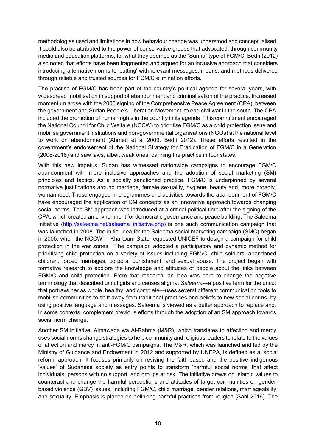methodologies used and limitations in how behaviour change was understood and conceptualised. It could also be attributed to the power of conservative groups that advocated, through community media and education platforms, for what they deemed as the "Sunna" type of FGM/C. Bedri (2012) also noted that efforts have been fragmented and argued for an inclusive approach that considers introducing alternative norms to 'cutting' with relevant messages, means, and methods delivered through reliable and trusted sources for FGM/C elimination efforts.

The practise of FGM/C has been part of the country's political agenda for several years, with widespread mobilisation in support of abandonment and criminalisation of the practice. Increased momentum arose with the 2005 signing of the Comprehensive Peace Agreement (CPA), between the government and Sudan People's Liberation Movement, to end civil war in the south. The CPA included the promotion of human rights in the country in its agenda. This commitment encouraged the National Council for Child Welfare (NCCW) to prioritise FGM/C as a child protection issue and mobilise government institutions and non-governmental organisations (NGOs) at the national level to work on abandonment (Ahmed et al 2009, Bedri 2012). These efforts resulted in the government's endorsement of the National Strategy for Eradication of FGM/C in a Generation (2008-2018) and saw laws, albeit weak ones, banning the practice in four states.

With this new impetus, Sudan has witnessed nationwide campaigns to encourage FGM/C abandonment with more inclusive approaches and the adoption of social marketing (SM) principles and tactics. As a socially sanctioned practice, FGM/C is underpinned by several normative justifications around marriage, female sexuality, hygiene, beauty and, more broadly, womanhood. Those engaged in programmes and activities towards the abandonment of FGM/C have encouraged the application of SM concepts as an innovative approach towards changing social norms. The SM approach was introduced at a critical political time after the signing of the CPA, which created an environment for democratic governance and peace building. The Saleema Initiative [\(http://saleema.net/saleema\\_initiative.php\)](http://saleema.net/saleema_initiative.php) is one such communication campaign that was launched in 2008. The initial idea for the Saleema social marketing campaign (SMC) began in 2005, when the NCCW in Khartoum State requested UNICEF to design a campaign for child protection in the war zones. The campaign adopted a participatory and dynamic method for prioritising child protection on a variety of issues including FGM/C, child soldiers, abandoned children, forced marriages, corporal punishment, and sexual abuse. The project began with formative research to explore the knowledge and attitudes of people about the links between FGM/C and child protection. From that research, an idea was born to change the negative terminology that described uncut girls and causes stigma. *Saleema*—a positive term for the uncut that portrays her as whole, healthy, and complete—uses several different communication tools to mobilise communities to shift away from traditional practices and beliefs to new social norms, by using positive language and messages. Saleema is viewed as a better approach to replace and, in some contexts, complement previous efforts through the adoption of an SM approach towards social norm change.

Another SM initiative, Almawada wa Al-Rahma (M&R), which translates to affection and mercy, uses social norms change strategies to help community and religious leaders to relate to the values of affection and mercy in anti-FGM/C campaigns. The M&R, which was launched and led by the Ministry of Guidance and Endowment in 2012 and supported by UNFPA, is defined as a 'social reform' approach. It focuses primarily on reviving the faith-based and the positive indigenous 'values' of Sudanese society as entry points to transform 'harmful social norms' that affect individuals, persons with no support, and groups at risk. The initiative draws on Islamic values to counteract and change the harmful perceptions and attitudes of target communities on genderbased violence (GBV) issues, including FGM/C, child marriage, gender relations, marriageability, and sexuality. Emphasis is placed on delinking harmful practices from religion (Sahl 2016). The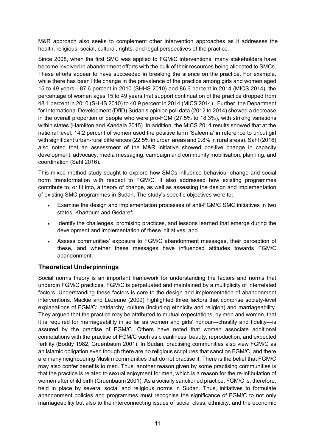M&R approach also seeks to complement other intervention approaches as it addresses the health, religious, social, cultural, rights, and legal perspectives of the practice.

Since 2008, when the first SMC was applied to FGM/C interventions, many stakeholders have become involved in abandonment efforts with the bulk of their resources being allocated to SMCs. These efforts appear to have succeeded in breaking the silence on the practice. For example, while there has been little change in the prevalence of the practice among girls and women aged 15 to 49 years—87.6 percent in 2010 (SHHS 2010) and 86.6 percent in 2014 (MICS 2014), the percentage of women ages 15 to 49 years that support continuation of the practice dropped from 48.1 percent in 2010 (SHHS 2010) to 40.9 percent in 2014 (MICS 2014). Further, the Department for International Development (DfID) Sudan's opinion poll data (2012 to 2014) showed a decrease in the overall proportion of people who were pro-FGM (27.5% to 18.3%), with striking variations within states (Hamilton and Kandala 2015). In addition, the MICS 2014 results showed that at the national level, 14.2 percent of women used the positive term 'Saleema' in reference to uncut girl with significant urban-rural differences (22.5% in urban areas and 9.8% in rural areas). Sahl (2016) also noted that an assessment of the M&R initiative showed positive change in capacity development, advocacy, media messaging, campaign and community mobilisation, planning, and coordination (Sahl 2016).

This mixed method study sought to explore how SMCs influence behaviour change and social norm transformation with respect to FGM/C. It also addressed how existing programmes contribute to, or fit into, a theory of change, as well as assessing the design and implementation of existing SMC programmes in Sudan. The study's specific objectives were to:

- Examine the design and implementation processes of anti-FGM/C SMC initiatives in two states: Khartoum and Gedaref;
- Identify the challenges, promising practices, and lessons learned that emerge during the development and implementation of these initiatives; and
- Assess communities' exposure to FGM/C abandonment messages, their perception of these, and whether these messages have influenced attitudes towards FGM/C abandonment.

## <span id="page-12-0"></span>**Theoretical Underpinnings**

Social norms theory is an important framework for understanding the factors and norms that underpin FGM/C practices. FGM/C is perpetuated and maintained by a multiplicity of interrelated factors. Understanding these factors is core to the design and implementation of abandonment interventions. Mackie and LeJeune (2009) highlighted three factors that comprise society-level explanations of FGM/C: patriarchy, culture (including ethnicity and religion) and marriageability. They argued that the practice may be attributed to mutual expectations, by men and women, that it is required for marriageability in so far as women and girls' honour—chastity and fidelity—is assured by the practise of FGM/C. Others have noted that women associate additional connotations with the practise of FGM/C such as cleanliness, beauty, reproduction, and expected fertility (Boddy 1982, Gruenbaum 2001). In Sudan, practising communities also view FGM/C as an Islamic obligation even though there are no religious scriptures that sanction FGM/C, and there are many neighbouring Muslim communities that do not practise it. There is the belief that FGM/C may also confer benefits to men. Thus, another reason given by some practising communities is that the practice is related to sexual enjoyment for men, which is a reason for the re-infibulation of women after child birth (Gruenbaum 2001). As a socially sanctioned practice, FGM/C is, therefore, held in place by several social and religious norms in Sudan. Thus, initiatives to formulate abandonment policies and programmes must recognise the significance of FGM/C to not only marriageability but also to the interconnecting issues of social class, ethnicity, and the economic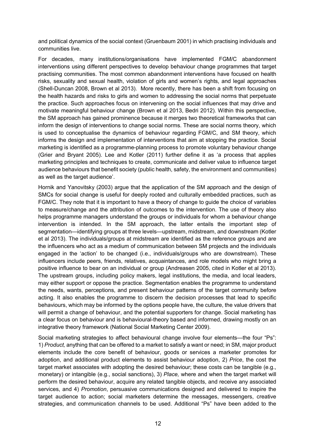and political dynamics of the social context (Gruenbaum 2001) in which practising individuals and communities live.

For decades, many institutions/organisations have implemented FGM/C abandonment interventions using different perspectives to develop behaviour change programmes that target practising communities. The most common abandonment interventions have focused on health risks, sexuality and sexual health, violation of girls and women's rights, and legal approaches (Shell-Duncan 2008, Brown et al 2013). More recently, there has been a shift from focusing on the health hazards and risks to girls and women to addressing the social norms that perpetuate the practice. Such approaches focus on intervening on the social influences that may drive and motivate meaningful behaviour change (Brown et al 2013, Bedri 2012). Within this perspective, the SM approach has gained prominence because it merges two theoretical frameworks that can inform the design of interventions to change social norms. These are social norms theory, which is used to conceptualise the dynamics of behaviour regarding FGM/C, and SM theory, which informs the design and implementation of interventions that aim at stopping the practice. Social marketing is identified as a programme-planning process to promote voluntary behaviour change (Grier and Bryant 2005). Lee and Kotler (2011) further define it as 'a process that applies marketing principles and techniques to create, communicate and deliver value to influence target audience behaviours that benefit society (public health, safety, the environment and communities) as well as the target audience'.

Hornik and Yanovitsky (2003) argue that the application of the SM approach and the design of SMCs for social change is useful for deeply rooted and culturally embedded practices, such as FGM/C. They note that it is important to have a theory of change to guide the choice of variables to measure/change and the attribution of outcomes to the intervention. The use of theory also helps programme managers understand the groups or individuals for whom a behaviour change intervention is intended. In the SM approach, the latter entails the important step of segmentation—identifying groups at three levels—upstream, midstream, and downstream (Kotler et al 2013). The individuals/groups at midstream are identified as the reference groups and are the influencers who act as a medium of communication between SM projects and the individuals engaged in the 'action' to be changed (i.e., individuals/groups who are downstream). These influencers include peers, friends, relatives, acquaintances, and role models who might bring a positive influence to bear on an individual or group (Andreasen 2005, cited in Kotler et al 2013). The upstream groups, including policy makers, legal institutions, the media, and local leaders, may either support or oppose the practice. Segmentation enables the programme to understand the needs, wants, perceptions, and present behaviour patterns of the target community before acting. It also enables the programme to discern the decision processes that lead to specific behaviours, which may be informed by the options people have, the culture, the value drivers that will permit a change of behaviour, and the potential supporters for change. Social marketing has a clear focus on behaviour and is behavioural-theory based and informed, drawing mostly on an integrative theory framework (National Social Marketing Center 2009).

Social marketing strategies to affect behavioural change involve four elements—the four "Ps": 1) *Product,* anything that can be offered to a market to satisfy a want or need; in SM, major product elements include the core benefit of behaviour, goods or services a marketer promotes for adoption, and additional product elements to assist behaviour adoption, 2) *Price*, the cost the target market associates with adopting the desired behaviour; these costs can be tangible (e.g., monetary) or intangible (e.g., social sanctions), 3) *Place,* where and when the target market will perform the desired behaviour, acquire any related tangible objects, and receive any associated services, and 4) *Promotion*, persuasive communications designed and delivered to inspire the target audience to action; social marketers determine the messages, messengers, creative strategies, and communication channels to be used. Additional "Ps" have been added to the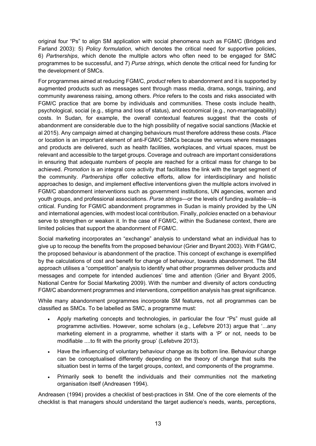original four "Ps" to align SM application with social phenomena such as FGM/C (Bridges and Farland 2003): 5) *Policy formulation,* which denotes the critical need for supportive policies, 6) *Partnerships*, which denote the multiple actors who often need to be engaged for SMC programmes to be successful, and 7) *Purse strings,* which denote the critical need for funding for the development of SMCs.

For programmes aimed at reducing FGM/C, *product* refers to abandonment and it is supported by augmented products such as messages sent through mass media, drama, songs, training, and community awareness raising, among others. *Price* refers to the costs and risks associated with FGM/C practice that are borne by individuals and communities. These costs include health, psychological, social (e.g., stigma and loss of status), and economical (e.g., non-marriageability) costs. In Sudan, for example, the overall contextual features suggest that the costs of abandonment are considerable due to the high possibility of negative social sanctions (Mackie et al 2015). Any campaign aimed at changing behaviours must therefore address these costs. *Place* or location is an important element of anti-FGM/C SMCs because the venues where messages and products are delivered, such as health facilities, workplaces, and virtual spaces, must be relevant and accessible to the target groups. Coverage and outreach are important considerations in ensuring that adequate numbers of people are reached for a critical mass for change to be achieved. *Promotion* is an integral core activity that facilitates the link with the target segment of the community. *Partnerships* offer collective efforts, allow for interdisciplinary and holistic approaches to design, and implement effective interventions given the multiple actors involved in FGM/C abandonment interventions such as government institutions, UN agencies, women and youth groups, and professional associations. *Purse strings*—or the levels of funding available—is critical. Funding for FGM/C abandonment programmes in Sudan is mainly provided by the UN and international agencies, with modest local contribution. Finally, *policies* enacted on a behaviour serve to strengthen or weaken it. In the case of FGM/C, within the Sudanese context, there are limited policies that support the abandonment of FGM/C.

Social marketing incorporates an "exchange" analysis to understand what an individual has to give up to recoup the benefits from the proposed behaviour (Grier and Bryant 2003). With FGM/C, the proposed behaviour is abandonment of the practice. This concept of exchange is exemplified by the calculations of cost and benefit for change of behaviour, towards abandonment. The SM approach utilises a "competition" analysis to identify what other programmes deliver products and messages and compete for intended audiences' time and attention (Grier and Bryant 2005, National Centre for Social Marketing 2009). With the number and diversity of actors conducting FGM/C abandonment programmes and interventions, competition analysis has great significance.

While many abandonment programmes incorporate SM features, not all programmes can be classified as SMCs. To be labelled as SMC, a programme must:

- Apply marketing concepts and technologies, in particular the four "Ps" must guide all programme activities. However, some scholars (e.g., Lefebvre 2013) argue that '...any marketing element in a programme, whether it starts with a 'P' or not, needs to be modifiable ....to fit with the priority group' (Lefebvre 2013).
- Have the influencing of voluntary behaviour change as its bottom line. Behaviour change can be conceptualised differently depending on the theory of change that suits the situation best in terms of the target groups, context, and components of the programme.
- Primarily seek to benefit the individuals and their communities not the marketing organisation itself (Andreasen 1994).

Andreasen (1994) provides a checklist of best-practices in SM. One of the core elements of the checklist is that managers should understand the target audience's needs, wants, perceptions,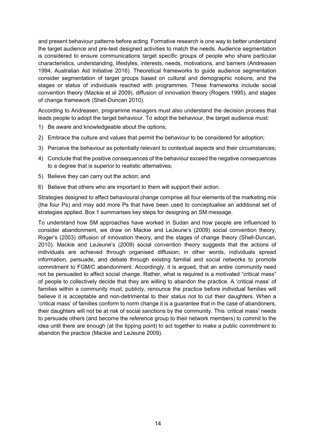and present behaviour patterns before acting. Formative research is one way to better understand the target audience and pre-test designed activities to match the needs. Audience segmentation is considered to ensure communications target specific groups of people who share particular characteristics, understanding, lifestyles, interests, needs, motivations, and barriers (Andreasen 1994, Australian Aid Initiative 2016). Theoretical frameworks to guide audience segmentation consider segmentation of target groups based on cultural and demographic notions, and the stages or status of individuals reached with programmes. These frameworks include social convention theory (Mackie et al 2009), diffusion of innovation theory (Rogers 1995), and stages of change framework (Shell-Duncan 2010).

According to Andreasen, programme managers must also understand the decision process that leads people to adopt the target behaviour. To adopt the behaviour, the target audience must:

- 1) Be aware and knowledgeable about the options;
- 2) Embrace the culture and values that permit the behaviour to be considered for adoption;
- 3) Perceive the behaviour as potentially relevant to contextual aspects and their circumstances;
- 4) Conclude that the positive consequences of the behaviour exceed the negative consequences to a degree that is superior to realistic alternatives;
- 5) Believe they can carry out the action; and
- 6) Believe that others who are important to them will support their action.

Strategies designed to affect behavioural change comprise all four elements of the marketing mix (the four Ps) and may add more Ps that have been used to conceptualise an additional set of strategies applied. Box 1 summarises key steps for designing an SM message.

To understand how SM approaches have worked in Sudan and how people are influenced to consider abandonment, we draw on Mackie and LeJeune's (2009) social convention theory, Roger's (2003) diffusion of innovation theory, and the stages of change theory (Shell-Duncan, 2010). Mackie and LeJeune's (2009) social convention theory suggests that the actions of individuals are achieved through organised diffusion; in other words, individuals spread information, persuade, and debate through existing familial and social networks to promote commitment to FGM/C abandonment. Accordingly, it is argued, that an entire community need not be persuaded to affect social change. Rather, what is required is a motivated "critical mass" of people to collectively decide that they are willing to abandon the practice. A 'critical mass' of families within a community must, publicly, renounce the practice before individual families will believe it is acceptable and non-detrimental to their status not to cut their daughters. When a 'critical mass' of families conform to norm change it is a guarantee that in the case of abandoners, their daughters will not be at risk of social sanctions by the community. This 'critical mass' needs to persuade others (and become the reference group to their network members) to commit to the idea until there are enough (at the tipping point) to act together to make a public commitment to abandon the practice (Mackie and LeJeune 2009).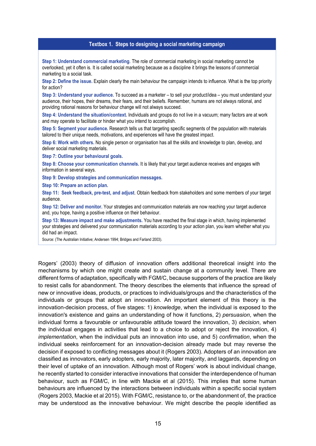#### **Textbox 1. Steps to designing a social marketing campaign**

**Step 1: Understand commercial marketing**. The role of commercial marketing in social marketing cannot be overlooked, yet it often is. It is called social marketing because as a discipline it brings the lessons of commercial marketing to a social task.

**Step 2: Define the issue.** Explain clearly the main behaviour the campaign intends to influence. What is the top priority for action?

**Step 3: Understand your audience.** To succeed as a marketer – to sell your product/idea – you must understand your audience, their hopes, their dreams, their fears, and their beliefs. Remember, humans are not always rational, and providing rational reasons for behaviour change will not always succeed.

**Step 4: Understand the situation/context.** Individuals and groups do not live in a vacuum; many factors are at work and may operate to facilitate or hinder what you intend to accomplish.

**Step 5: Segment your audience.** Research tells us that targeting specific segments of the population with materials tailored to their unique needs, motivations, and experiences will have the greatest impact.

**Step 6: Work with others.** No single person or organisation has all the skills and knowledge to plan, develop, and deliver social marketing materials.

**Step 7: Outline your behavioural goals.**

**Step 8: Choose your communication channels.** It is likely that your target audience receives and engages with information in several ways.

**Step 9: Develop strategies and communication messages.** 

**Step 10: Prepare an action plan.**

**Step 11: Seek feedback, pre-test, and adjust**. Obtain feedback from stakeholders and some members of your target audience.

**Step 12: Deliver and monitor.** Your strategies and communication materials are now reaching your target audience and, you hope, having a positive influence on their behaviour.

**Step 13: Measure impact and make adjustments.** You have reached the final stage in which, having implemented your strategies and delivered your communication materials according to your action plan, you learn whether what you did had an impact.

Source: (The Australian Initiative; Andersen 1994; Bridges and Farland 2003).

Rogers' (2003) theory of diffusion of innovation offers additional theoretical insight into the mechanisms by which one might create and sustain change at a community level. There are different forms of adaptation, specifically with FGM/C, because supporters of the practice are likely to resist calls for abandonment. The theory describes the elements that influence the spread of new or innovative ideas, products, or practices to individuals/groups and the characteristics of the individuals or groups that adopt an innovation. An important element of this theory is the innovation-decision process, of five stages: 1) *knowledge*, when the individual is exposed to the innovation's existence and gains an understanding of how it functions, 2) *persuasion*, when the individual forms a favourable or unfavourable attitude toward the innovation, 3) *decision*, when the individual engages in activities that lead to a choice to adopt or reject the innovation, 4) *implementation*, when the individual puts an innovation into use, and 5) *confirmation*, when the individual seeks reinforcement for an innovation-decision already made but may reverse the decision if exposed to conflicting messages about it (Rogers 2003). Adopters of an innovation are classified as innovators, early adopters, early majority, later majority, and laggards, depending on their level of uptake of an innovation. Although most of Rogers' work is about individual change, he recently started to consider interactive innovations that consider the interdependence of human behaviour, such as FGM/C, in line with Mackie et al (2015). This implies that some human behaviours are influenced by the interactions between individuals within a specific social system (Rogers 2003, Mackie et al 2015). With FGM/C, resistance to, or the abandonment of, the practice may be understood as the innovative behaviour. We might describe the people identified as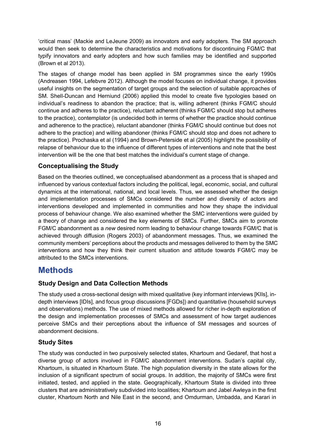'critical mass' (Mackie and LeJeune 2009) as innovators and early adopters. The SM approach would then seek to determine the characteristics and motivations for discontinuing FGM/C that typify innovators and early adopters and how such families may be identified and supported (Brown et al 2013).

The stages of change model has been applied in SM programmes since the early 1990s (Andreasen 1994, Lefebvre 2012). Although the model focuses on individual change, it provides useful insights on the segmentation of target groups and the selection of suitable approaches of SM. Shell-Duncan and Herniund (2006) applied this model to create five typologies based on individual's readiness to abandon the practice; that is, willing adherent (thinks FGM/C should continue and adheres to the practice), reluctant adherent (thinks FGM/C should stop but adheres to the practice), contemplator (is undecided both in terms of whether the practice should continue and adherence to the practice), reluctant abandoner (thinks FGM/C should continue but does not adhere to the practice) and willing abandoner (thinks FGM/C should stop and does not adhere to the practice). Prochaska et al (1994) and Brown-Peterside et al (2005) highlight the possibility of relapse of behaviour due to the influence of different types of interventions and note that the best intervention will be the one that best matches the individual's current stage of change.

## <span id="page-17-0"></span>**Conceptualising the Study**

Based on the theories outlined, we conceptualised abandonment as a process that is shaped and influenced by various contextual factors including the political, legal, economic, social, and cultural dynamics at the international, national, and local levels. Thus, we assessed whether the design and implementation processes of SMCs considered the number and diversity of actors and interventions developed and implemented in communities and how they shape the individual process of behaviour change. We also examined whether the SMC interventions were guided by a theory of change and considered the key elements of SMCs. Further, SMCs aim to promote FGM/C abandonment as a *new* desired norm leading to behaviour change towards FGM/C that is achieved through diffusion (Rogers 2003) of abandonment messages. Thus, we examined the community members' perceptions about the products and messages delivered to them by the SMC interventions and how they think their current situation and attitude towards FGM/C may be attributed to the SMCs interventions.

## <span id="page-17-1"></span>**Methods**

## <span id="page-17-2"></span>**Study Design and Data Collection Methods**

The study used a cross-sectional design with mixed qualitative (key informant interviews [KIIs], indepth interviews [IDIs], and focus group discussions [FGDs]) and quantitative (household surveys and observations) methods. The use of mixed methods allowed for richer in-depth exploration of the design and implementation processes of SMCs and assessment of how target audiences perceive SMCs and their perceptions about the influence of SM messages and sources of abandonment decisions.

## <span id="page-17-3"></span>**Study Sites**

The study was conducted in two purposively selected states, Khartoum and Gedaref, that host a diverse group of actors involved in FGM/C abandonment interventions. Sudan's capital city, Khartoum, is situated in Khartoum State. The high population diversity in the state allows for the inclusion of a significant spectrum of social groups. In addition, the majority of SMCs were first initiated, tested, and applied in the state. Geographically, Khartoum State is divided into three clusters that are administratively subdivided into localities; Khartoum and Jabel Awleya in the first cluster, Khartoum North and Nile East in the second, and Omdurman, Umbadda, and Karari in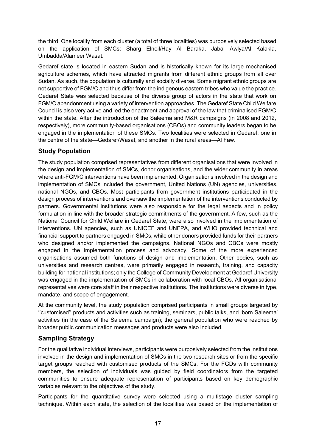the third. One locality from each cluster (a total of three localities) was purposively selected based on the application of SMCs: Sharg Elneil/Hay Al Baraka, Jabal Awlya/Al Kalakla, Umbadda/Alameer Wasat.

Gedaref state is located in eastern Sudan and is historically known for its large mechanised agriculture schemes, which have attracted migrants from different ethnic groups from all over Sudan. As such, the population is culturally and socially diverse. Some migrant ethnic groups are not supportive of FGM/C and thus differ from the indigenous eastern tribes who value the practice. Gedaref State was selected because of the diverse group of actors in the state that work on FGM/C abandonment using a variety of intervention approaches. The Gedaref State Child Welfare Council is also very active and led the enactment and approval of the law that criminalised FGM/C within the state. After the introduction of the Saleema and M&R campaigns (in 2008 and 2012, respectively), more community-based organisations (CBOs) and community leaders began to be engaged in the implementation of these SMCs. Two localities were selected in Gedaref: one in the centre of the state—Gedaref/Wasat, and another in the rural areas—Al Faw.

## <span id="page-18-0"></span>**Study Population**

The study population comprised representatives from different organisations that were involved in the design and implementation of SMCs, donor organisations, and the wider community in areas where anti-FGM/C interventions have been implemented. Organisations involved in the design and implementation of SMCs included the government, United Nations (UN) agencies, universities, national NGOs, and CBOs. Most participants from government institutions participated in the design process of interventions and oversaw the implementation of the interventions conducted by partners. Governmental institutions were also responsible for the legal aspects and in policy formulation in line with the broader strategic commitments of the government. A few, such as the National Council for Child Welfare in Gedaref State, were also involved in the implementation of interventions. UN agencies, such as UNICEF and UNFPA, and WHO provided technical and financial support to partners engaged in SMCs, while other donors provided funds for their partners who designed and/or implemented the campaigns. National NGOs and CBOs were mostly engaged in the implementation process and advocacy. Some of the more experienced organisations assumed both functions of design and implementation. Other bodies, such as universities and research centres, were primarily engaged in research, training, and capacity building for national institutions; only the College of Community Development at Gedaref University was engaged in the implementation of SMCs in collaboration with local CBOs. All organisational representatives were core staff in their respective institutions. The institutions were diverse in type, mandate, and scope of engagement.

At the community level, the study population comprised participants in small groups targeted by ''customised'' products and activities such as training, seminars, public talks, and 'born Saleema' activities (in the case of the Saleema campaign); the general population who were reached by broader public communication messages and products were also included.

## <span id="page-18-1"></span>**Sampling Strategy**

For the qualitative individual interviews, participants were purposively selected from the institutions involved in the design and implementation of SMCs in the two research sites or from the specific target groups reached with customised products of the SMCs. For the FGDs with community members, the selection of individuals was guided by field coordinators from the targeted communities to ensure adequate representation of participants based on key demographic variables relevant to the objectives of the study.

Participants for the quantitative survey were selected using a multistage cluster sampling technique. Within each state, the selection of the localities was based on the implementation of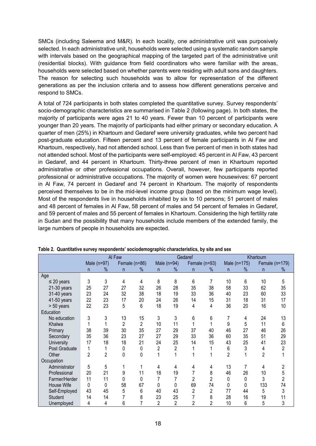SMCs (including Saleema and M&R). In each locality, one administrative unit was purposively selected. In each administrative unit, households were selected using a systematic random sample with intervals based on the geographical mapping of the targeted part of the administrative unit (residential blocks). With guidance from field coordinators who were familiar with the areas, households were selected based on whether parents were residing with adult sons and daughters. The reason for selecting such households was to allow for representation of the different generations as per the inclusion criteria and to assess how different generations perceive and respond to SMCs.

A total of 724 participants in both states completed the quantitative survey. Survey respondents' socio-demographic characteristics are summarised in Table 2 (following page). In both states, the majority of participants were ages 21 to 40 years. Fewer than 10 percent of participants were younger than 20 years. The majority of participants had either primary or secondary education. A quarter of men (25%) in Khartoum and Gedaref were university graduates, while two percent had post-graduate education. Fifteen percent and 13 percent of female participants in Al Faw and Khartoum, respectively, had not attended school. Less than five percent of men in both states had not attended school. Most of the participants were self-employed: 45 percent in Al Faw, 43 percent in Gedaref, and 44 percent in Khartoum. Thirty-three percent of men in Khartoum reported administrative or other professional occupations. Overall, however, few participants reported professional or administrative occupations. The majority of women were housewives: 67 percent in Al Faw, 74 percent in Gedaref and 74 percent in Khartoum. The majority of respondents perceived themselves to be in the mid-level income group (based on the minimum wage level). Most of the respondents live in households inhabited by six to 10 persons; 51 percent of males and 48 percent of females in Al Faw, 58 percent of males and 54 percent of females in Gedaref, and 59 percent of males and 55 percent of females in Khartoum. Considering the high fertility rate in Sudan and the possibility that many households include members of the extended family, the large numbers of people in households are expected.

|                 | Al Faw         |                |                | Gedaref        |                |                |                | Khartoum       |                |              |                |                |
|-----------------|----------------|----------------|----------------|----------------|----------------|----------------|----------------|----------------|----------------|--------------|----------------|----------------|
|                 |                | Male (n=97)    |                | Female (n=86)  |                | Male $(n=94)$  | Female (n=93)  |                |                | Male (n=175) |                | Female (n=179) |
|                 | n              | %              | n              | ℅              | n.             | %              | n.             | $\%$           | n              | $\%$         | n              | %              |
| Age             |                |                |                |                |                |                |                |                |                |              |                |                |
| $\leq$ 20 years | 3              | 3              | 4              | 4              | 8              | 8              | 6              | 7              | 10             | 6            | 10             | 5              |
| 21-30 years     | 25             | 27             | 27             | 32             | 26             | 28             | 35             | 38             | 58             | 33           | 62             | 35             |
| 31-40 years     | 23             | 24             | 32             | 38             | 18             | 19             | 33             | 36             | 40             | 23           | 60             | 33             |
| 41-50 years     | 22             | 23             | 17             | 20             | 24             | 26             | 14             | 15             | 31             | 18           | 31             | 17             |
| > 50 years      | 22             | 23             | 5              | 6              | 18             | 19             | 4              | 4              | 36             | 20           | 16             | 10             |
| Education       |                |                |                |                |                |                |                |                |                |              |                |                |
| No education    | 3              | 3              | 13             | 15             | 3              | 3              | 6              | 6              | 7              | 4            | 24             | 13             |
| Khalwa          | 1              |                | $\overline{2}$ | $\overline{2}$ | 10             | 11             |                |                | 9              | 5            | 11             | 6              |
| Primary         | 38             | 39             | 30             | 35             | 27             | 29             | 37             | 40             | 46             | 27           | 46             | 26             |
| Secondary       | 35             | 36             | 23             | 27             | 27             | 29             | 33             | 36             | 60             | 35           | 51             | 29             |
| University      | 17             | 18             | 18             | 21             | 24             | 25             | 14             | 15             | 43             | 25           | 41             | 23             |
| Post Graduate   | 1              |                | 0              | 0              | $\overline{2}$ | 2              |                |                | 6              | 3            | 4              | $\overline{2}$ |
| Other           | $\overline{2}$ | $\overline{2}$ | 0              | 0              | 1              | 1              |                |                | $\overline{2}$ |              | $\overline{2}$ |                |
| Occupation      |                |                |                |                |                |                |                |                |                |              |                |                |
| Administrator   | 5              | 5              |                |                | 4              | 4              | 4              | 4              | 13             | 7            | 4              | 2              |
| Professional    | 20             | 21             | 9              | 11             | 18             | 19             | $\overline{7}$ | 8              | 46             | 26           | 10             | 5              |
| Farmer/Herder   | 11             | 11             | 0              | 0              | 7              | 7              | $\overline{2}$ | $\overline{c}$ | 0              | 0            | 3              | 2              |
| House Wife      | 0              | 0              | 58             | 67             | 0              | 0              | 69             | 74             | 0              | 0            | 133            | 74             |
| Self-Employed   | 43             | 45             | 5              | 6              | 40             | 43             | $\overline{2}$ | $\overline{c}$ | 77             | 44           | 5              | 3              |
| <b>Student</b>  | 14             | 14             |                | 8              | 23             | 25             |                | 8              | 28             | 16           | 19             | 11             |
| Unemployed      | 4              | 4              | 6              | 7              | 2              | $\overline{2}$ | $\overline{2}$ | 2              | 10             | 6            | 5              | 3              |

**Table 2. Quantitative survey respondents' sociodemographic characteristics, by site and sex**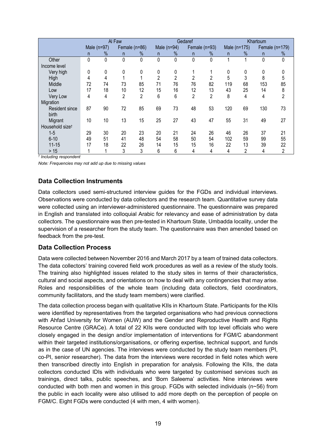|                             | Al Faw |               |                |                |                | Gedaref        |               |                |              | Khartoum       |     |                |  |
|-----------------------------|--------|---------------|----------------|----------------|----------------|----------------|---------------|----------------|--------------|----------------|-----|----------------|--|
|                             |        | Male $(n=97)$ | Female (n=86)  |                |                | Male $(n=94)$  | Female (n=93) |                | Male (n=175) |                |     | Female (n=179) |  |
|                             | n      | $\frac{0}{6}$ | n.             | %              | n              | %              | n             | $\%$           | n            | $\%$           | n.  | %              |  |
| Other                       | 0      | 0             | 0              | 0              | 0              | 0              | 0             | 0              | 4            |                | 0   | 0              |  |
| Income level                |        |               |                |                |                |                |               |                |              |                |     |                |  |
| Very high                   | 0      | 0             | 0              | 0              | 0              | 0              |               |                | 0            | 0              | 0   |                |  |
| High                        | 4      | 4             |                |                | $\overline{2}$ | $\overline{2}$ | 2             | 2              | 5            | 3              | 8   | 5              |  |
| Middle                      | 72     | 74            | 73             | 85             | 71             | 76             | 76            | 82             | 119          | 68             | 153 | 85             |  |
| Low                         | 17     | 18            | 10             | 12             | 15             | 16             | 12            | 13             | 43           | 25             | 14  | 8              |  |
| Very Low                    | 4      | 4             | $\overline{2}$ | $\overline{2}$ | 6              | 6              | 2             | $\overline{2}$ | 8            | 4              | 4   | 2              |  |
| Migration                   |        |               |                |                |                |                |               |                |              |                |     |                |  |
| Resident since              | 87     | 90            | 72             | 85             | 69             | 73             | 48            | 53             | 120          | 69             | 130 | 73             |  |
| birth                       |        |               |                |                |                |                |               |                |              |                |     |                |  |
| Migrant                     | 10     | 10            | 13             | 15             | 25             | 27             | 43            | 47             | 55           | 31             | 49  | 27             |  |
| Household size <sup>t</sup> |        |               |                |                |                |                |               |                |              |                |     |                |  |
| $1-5$                       | 29     | 30            | 20             | 23             | 20             | 21             | 24            | 26             | 46           | 26             | 37  | 21             |  |
| $6 - 10$                    | 49     | 51            | 41             | 48             | 54             | 58             | 50            | 54             | 102          | 59             | 99  | 55             |  |
| $11 - 15$                   | 17     | 18            | 22             | 26             | 14             | 15             | 15            | 16             | 22           | 13             | 39  | 22             |  |
| $>15$                       |        |               | 3              | 3              | 6              | 6              | 4             | 4              | 4            | $\overline{2}$ | 4   | $\overline{2}$ |  |

*† Including respondent*

*Note: Frequencies may not add up due to missing values*

## <span id="page-20-0"></span>**Data Collection Instruments**

Data collectors used semi-structured interview guides for the FGDs and individual interviews. Observations were conducted by data collectors and the research team. Quantitative survey data were collected using an interviewer-administered questionnaire. The questionnaire was prepared in English and translated into colloquial Arabic for relevancy and ease of administration by data collectors. The questionnaire was then pre-tested in Khartoum State, Umbadda locality, under the supervision of a researcher from the study team. The questionnaire was then amended based on feedback from the pre-test.

### <span id="page-20-1"></span>**Data Collection Process**

Data were collected between November 2016 and March 2017 by a team of trained data collectors. The data collectors' training covered field work procedures as well as a review of the study tools. The training also highlighted issues related to the study sites in terms of their characteristics, cultural and social aspects, and orientations on how to deal with any contingencies that may arise. Roles and responsibilities of the whole team (including data collectors, field coordinators, community facilitators, and the study team members) were clarified.

The data collection process began with qualitative KIIs in Khartoum State. Participants for the KIIs were identified by representatives from the targeted organisations who had previous connections with Ahfad University for Women (AUW) and the Gender and Reproductive Health and Rights Resource Centre (GRACe). A total of 22 KIIs were conducted with top level officials who were closely engaged in the design and/or implementation of interventions for FGM/C abandonment within their targeted institutions/organisations, or offering expertise, technical support, and funds as in the case of UN agencies. The interviews were conducted by the study team members (PI, co-PI, senior researcher). The data from the interviews were recorded in field notes which were then transcribed directly into English in preparation for analysis. Following the KIIs, the data collectors conducted IDIs with individuals who were targeted by customised services such as trainings, direct talks, public speeches, and 'Born Saleema' activities. Nine interviews were conducted with both men and women in this group. FGDs with selected individuals (n~56) from the public in each locality were also utilised to add more depth on the perception of people on FGM/C. Eight FGDs were conducted (4 with men, 4 with women).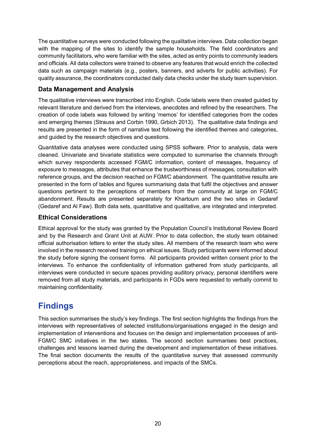The quantitative surveys were conducted following the qualitative interviews. Data collection began with the mapping of the sites to identify the sample households. The field coordinators and community facilitators, who were familiar with the sites, acted as entry points to community leaders and officials. All data collectors were trained to observe any features that would enrich the collected data such as campaign materials (e.g., posters, banners, and adverts for public activities). For quality assurance, the coordinators conducted daily data checks under the study team supervision.

## <span id="page-21-0"></span>**Data Management and Analysis**

The qualitative interviews were transcribed into English. Code labels were then created guided by relevant literature and derived from the interviews, anecdotes and refined by the researchers. The creation of code labels was followed by writing 'memos' for identified categories from the codes and emerging themes (Strauss and Corbin 1990, Grbich 2013). The qualitative data findings and results are presented in the form of narrative text following the identified themes and categories, and guided by the research objectives and questions.

Quantitative data analyses were conducted using SPSS software. Prior to analysis, data were cleaned. Univariate and bivariate statistics were computed to summarise the channels through which survey respondents accessed FGM/C information, content of messages, frequency of exposure to messages, attributes that enhance the trustworthiness of messages, consultation with reference groups, and the decision reached on FGM/C abandonment. The quantitative results are presented in the form of tables and figures summarising data that fulfil the objectives and answer questions pertinent to the perceptions of members from the community at large on FGM/C abandonment. Results are presented separately for Khartoum and the two sites in Gedaref (Gedaref and Al Faw). Both data sets, quantitative and qualitative, are integrated and interpreted.

## <span id="page-21-1"></span>**Ethical Considerations**

Ethical approval for the study was granted by the Population Council's Institutional Review Board and by the Research and Grant Unit at AUW. Prior to data collection, the study team obtained official authorisation letters to enter the study sites. All members of the research team who were involved in the research received training on ethical issues. Study participants were informed about the study before signing the consent forms. All participants provided written consent prior to the interviews. To enhance the confidentiality of information gathered from study participants, all interviews were conducted in secure spaces providing auditory privacy, personal identifiers were removed from all study materials, and participants in FGDs were requested to verbally commit to maintaining confidentiality.

## <span id="page-21-2"></span>**Findings**

This section summarises the study's key findings. The first section highlights the findings from the interviews with representatives of selected institutions/organisations engaged in the design and implementation of interventions and focuses on the design and implementation processes of anti-FGM/C SMC initiatives in the two states. The second section summarises best practices, challenges and lessons learned during the development and implementation of these initiatives. The final section documents the results of the quantitative survey that assessed community perceptions about the reach, appropriateness, and impacts of the SMCs.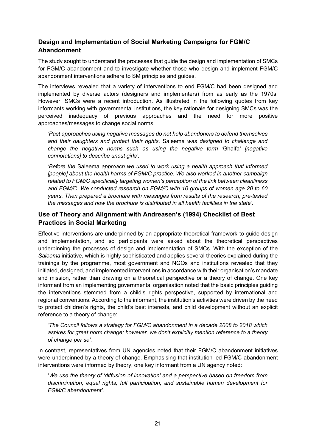## <span id="page-22-0"></span>**Design and Implementation of Social Marketing Campaigns for FGM/C Abandonment**

The study sought to understand the processes that guide the design and implementation of SMCs for FGM/C abandonment and to investigate whether those who design and implement FGM/C abandonment interventions adhere to SM principles and guides.

The interviews revealed that a variety of interventions to end FGM/C had been designed and implemented by diverse actors (designers and implementers) from as early as the 1970s. However, SMCs were a recent introduction. As illustrated in the following quotes from key informants working with governmental institutions, the key rationale for designing SMCs was the perceived inadequacy of previous approaches and the need for more positive approaches/messages to change social norms:

*'Past approaches using negative messages do not help abandoners to defend themselves and their daughters and protect their rights.* Saleema *was designed to challenge and change the negative norms such as using the negative term '*Ghalfa*' [negative connotations] to describe uncut girls'.*

*'Before the* Saleema *approach we used to work using a health approach that informed [people] about the health harms of FGM/C practice. We also worked in another campaign related to FGM/C specifically targeting women's perception of the link between cleanliness and FGM/C. We conducted research on FGM/C with 10 groups of women age 20 to 60 years. Then prepared a brochure with messages from results of the research; pre-tested the messages and now the brochure is distributed in all health facilities in the state'.*

## <span id="page-22-1"></span>**Use of Theory and Alignment with Andreasen's (1994) Checklist of Best Practices in Social Marketing**

Effective interventions are underpinned by an appropriate theoretical framework to guide design and implementation, and so participants were asked about the theoretical perspectives underpinning the processes of design and implementation of SMCs. With the exception of the *Saleema* initiative, which is highly sophisticated and applies several theories explained during the trainings by the programme, most government and NGOs and institutions revealed that they initiated, designed, and implemented interventions in accordance with their organisation's mandate and mission, rather than drawing on a theoretical perspective or a theory of change. One key informant from an implementing governmental organisation noted that the basic principles guiding the interventions stemmed from a child's rights perspective, supported by international and regional conventions. According to the informant, the institution's activities were driven by the need to protect children's rights, the child's best interests, and child development without an explicit reference to a theory of change:

*'The Council follows a strategy for FGM/C abandonment in a decade 2008 to 2018 which aspires for great norm change; however, we don't explicitly mention reference to a theory of change per se'.*

In contrast, representatives from UN agencies noted that their FGM/C abandonment initiatives were underpinned by a theory of change. Emphasising that institution-led FGM/C abandonment interventions were informed by theory, one key informant from a UN agency noted:

'*We use the theory of 'diffusion of innovation' and a perspective based on freedom from discrimination, equal rights, full participation, and sustainable human development for FGM/C abandonment'.*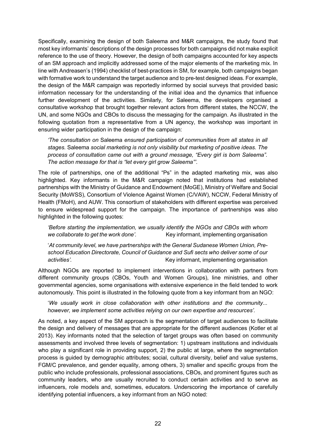Specifically, examining the design of both Saleema and M&R campaigns, the study found that most key informants' descriptions of the design processes for both campaigns did not make explicit reference to the use of theory. However, the design of both campaigns accounted for key aspects of an SM approach and implicitly addressed some of the major elements of the marketing mix. In line with Andreasen's (1994) checklist of best-practices in SM, for example, both campaigns began with formative work to understand the target audience and to pre-test designed ideas. For example, the design of the M&R campaign was reportedly informed by social surveys that provided basic information necessary for the understanding of the initial idea and the dynamics that influence further development of the activities. Similarly, for Saleema, the developers organised a consultative workshop that brought together relevant actors from different states, the NCCW, the UN, and some NGOs and CBOs to discuss the messaging for the campaign. As illustrated in the following quotation from a representative from a UN agency, the workshop was important in ensuring wider participation in the design of the campaign:

*'The consultation on* Saleema *ensured participation of communities from all states in all stages.* Saleema *social marketing is not only visibility but marketing of positive ideas. The process of consultation came out with a ground message, "Every girl is born Saleema". The action message for that is "let every girl grow Saleema"'.*

The role of partnerships, one of the additional "Ps" in the adapted marketing mix, was also highlighted. Key informants in the M&R campaign noted that institutions had established partnerships with the Ministry of Guidance and Endowment (MoGE), Ministry of Welfare and Social Security (MoWSS), Consortium of Violence Against Women (C/VAW), NCCW, Federal Ministry of Health (FMoH), and AUW. This consortium of stakeholders with different expertise was perceived to ensure widespread support for the campaign. The importance of partnerships was also highlighted in the following quotes:

*'Before starting the implementation, we usually identify the NGOs and CBOs with whom we collaborate to get the work done'.* Key informant, implementing organisation

'*At community level, we have partnerships with the General Sudanese Women Union, Preschool Education Directorate, Council of Guidance and Sufi sects who deliver some of our activities'.* Key informant, implementing organisation

Although NGOs are reported to implement interventions in collaboration with partners from different community groups (CBOs, Youth and Women Groups), line ministries, and other governmental agencies, some organisations with extensive experience in the field tended to work autonomously. This point is illustrated in the following quote from a key informant from an NGO:

'*We usually work in close collaboration with other institutions and the community... however, we implement some activities relying on our own expertise and resources'.*

As noted, a key aspect of the SM approach is the segmentation of target audiences to facilitate the design and delivery of messages that are appropriate for the different audiences (Kotler et al 2013). Key informants noted that the selection of target groups was often based on community assessments and involved three levels of segmentation: 1) upstream institutions and individuals who play a significant role in providing support, 2) the public at large, where the segmentation process is guided by demographic attributes; social, cultural diversity, belief and value systems, FGM/C prevalence, and gender equality, among others, 3) smaller and specific groups from the public who include professionals, professional associations, CBOs, and prominent figures such as community leaders, who are usually recruited to conduct certain activities and to serve as influencers, role models and, sometimes, educators. Underscoring the importance of carefully identifying potential influencers, a key informant from an NGO noted: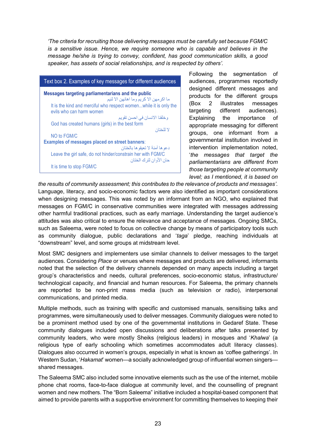*'The criteria for recruiting those delivering messages must be carefully set because FGM/C is a sensitive issue. Hence, we require someone who is capable and believes in the message he/she is trying to convey, confident, has good communication skills, a good speaker, has assets of social relationships, and is respected by others'.*

| Text box 2. Examples of key messages for different audiences                                   |
|------------------------------------------------------------------------------------------------|
| Messages targeting parliamentarians and the public<br>ما اكر مهن الا كريم و ما اهانهن الا لئيم |
| It is the kind and merciful who respect womenwhile it is only the<br>evils who can harm women  |
| وخلقنا الانسان في احسن تقويم                                                                   |
| God has created humans (girls) in the best form                                                |
| لا للختان                                                                                      |
| NO to FGM/C                                                                                    |
| <b>Examples of messages placed on street banners:</b>                                          |
| دعو ها آمنة لا تعيقو ها بالختان                                                                |
| Leave the girl safe, do not hinder/constrain her with FGM/C<br>حان الأو ان لتر ك الختان        |
| It is time to stop FGM/C                                                                       |

Following the segmentation of audiences, programmes reportedly designed different messages and products for the different groups (Box 2 illustrates messages targeting different audiences). Explaining the importance of appropriate messaging for different groups, one informant from a governmental institution involved in intervention implementation noted, '*the messages that target the parliamentarians are different from those targeting people at community level; as I mentioned, it is based on* 

*the results of community assessment; this contributes to the relevance of products and messages'*. Language, literacy, and socio-economic factors were also identified as important considerations when designing messages. This was noted by an informant from an NGO, who explained that messages on FGM/C in conservative communities were integrated with messages addressing other harmful traditional practices, such as early marriage. Understanding the target audience's attitudes was also critical to ensure the relevance and acceptance of messages. Ongoing SMCs, such as Saleema, were noted to focus on collective change by means of participatory tools such as community dialogue, public declarations and '*taga*' pledge, reaching individuals at "downstream" level, and some groups at midstream level.

Most SMC designers and implementers use similar channels to deliver messages to the target audiences. Considering *Place* or venues where messages and products are delivered, informants noted that the selection of the delivery channels depended on many aspects including a target group's characteristics and needs, cultural preferences, socio-economic status, infrastructure/ technological capacity, and financial and human resources. For Saleema, the primary channels are reported to be non-print mass media (such as television or radio), interpersonal communications, and printed media.

Multiple methods, such as training with specific and customised manuals, sensitising talks and programmes, were simultaneously used to deliver messages. Community dialogues were noted to be a prominent method used by one of the governmental institutions in Gedaref State. These community dialogues included open discussions and deliberations after talks presented by community leaders, who were mostly Sheiks (religious leaders) in mosques and '*Khalwa*' (a religious type of early schooling which sometimes accommodates adult literacy classes). Dialogues also occurred in women's groups, especially in what is known as 'coffee gatherings'. In Western Sudan, '*Hakamat*' women—a socially acknowledged group of influential women singers shared messages.

The Saleema SMC also included some innovative elements such as the use of the internet, mobile phone chat rooms, face-to-face dialogue at community level, and the counselling of pregnant women and new mothers. The "Born Saleema" initiative included a hospital-based component that aimed to provide parents with a supportive environment for committing themselves to keeping their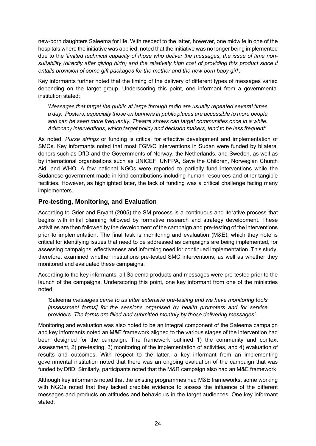new-born daughters Saleema for life. With respect to the latter, however, one midwife in one of the hospitals where the initiative was applied, noted that the initiative was no longer being implemented due to the '*limited technical capacity of those who deliver the messages, the issue of time nonsuitability (directly after giving birth) and the relatively high cost of providing this product since it entails provision of some gift packages for the mother and the new*-*born baby girl'.*

Key informants further noted that the timing of the delivery of different types of messages varied depending on the target group. Underscoring this point, one informant from a governmental institution stated:

'*Messages that target the public at large through radio are usually repeated several times a day. Posters, especially those on banners in public places are accessible to more people and can be seen more frequently. Theatre shows can target communities once in a while. Advocacy interventions, which target policy and decision makers, tend to be less frequent'.*

As noted, *Purse strings* or funding is critical for effective development and implementation of SMCs. Key informants noted that most FGM/C interventions in Sudan were funded by bilateral donors such as DfID and the Governments of Norway, the Netherlands, and Sweden, as well as by international organisations such as UNICEF, UNFPA, Save the Children, Norwegian Church Aid, and WHO. A few national NGOs were reported to partially fund interventions while the Sudanese government made in-kind contributions including human resources and other tangible facilities. However, as highlighted later, the lack of funding was a critical challenge facing many implementers.

## <span id="page-25-0"></span>**Pre-testing, Monitoring, and Evaluation**

According to Grier and Bryant (2005) the SM process is a continuous and iterative process that begins with initial planning followed by formative research and strategy development. These activities are then followed by the development of the campaign and pre-testing of the interventions prior to implementation. The final task is monitoring and evaluation (M&E), which they note is critical for identifying issues that need to be addressed as campaigns are being implemented, for assessing campaigns' effectiveness and informing need for continued implementation. This study, therefore, examined whether institutions pre-tested SMC interventions, as well as whether they monitored and evaluated these campaigns.

According to the key informants, all Saleema products and messages were pre-tested prior to the launch of the campaigns. Underscoring this point, one key informant from one of the ministries noted:

*'*Saleema *messages came to us after extensive pre-testing and we have monitoring tools [assessment forms] for the sessions organised by health promoters and for service providers. The forms are filled and submitted monthly by those delivering messages'.*

Monitoring and evaluation was also noted to be an integral component of the Saleema campaign and key informants noted an M&E framework aligned to the various stages of the intervention had been designed for the campaign. The framework outlined 1) the community and context assessment, 2) pre-testing, 3) monitoring of the implementation of activities, and 4) evaluation of results and outcomes. With respect to the latter, a key informant from an implementing governmental institution noted that there was an ongoing evaluation of the campaign that was funded by DfID. Similarly, participants noted that the M&R campaign also had an M&E framework.

Although key informants noted that the existing programmes had M&E frameworks, some working with NGOs noted that they lacked credible evidence to assess the influence of the different messages and products on attitudes and behaviours in the target audiences. One key informant stated: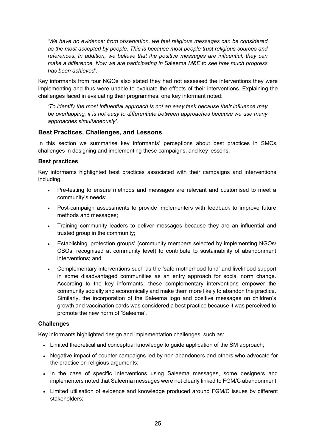*'We have no evidence; from observation, we feel religious messages can be considered as the most accepted by people. This is because most people trust religious sources and references. In addition, we believe that the positive messages are influential; they can make a difference. Now we are participating in* Saleema *M&E to see how much progress has been achieved'.*

Key informants from four NGOs also stated they had not assessed the interventions they were implementing and thus were unable to evaluate the effects of their interventions. Explaining the challenges faced in evaluating their programmes, one key informant noted:

*'To identify the most influential approach is not an easy task because their influence may be overlapping, it is not easy to differentiate between approaches because we use many approaches simultaneously'.*

### <span id="page-26-0"></span>**Best Practices, Challenges, and Lessons**

In this section we summarise key informants' perceptions about best practices in SMCs, challenges in designing and implementing these campaigns, and key lessons.

### **Best practices**

Key informants highlighted best practices associated with their campaigns and interventions, including:

- Pre-testing to ensure methods and messages are relevant and customised to meet a community's needs;
- Post-campaign assessments to provide implementers with feedback to improve future methods and messages;
- Training community leaders to deliver messages because they are an influential and trusted group in the community;
- Establishing 'protection groups' (community members selected by implementing NGOs/ CBOs, recognised at community level) to contribute to sustainability of abandonment interventions; and
- Complementary interventions such as the 'safe motherhood fund' and livelihood support in some disadvantaged communities as an entry approach for social norm change. According to the key informants, these complementary interventions empower the community socially and economically and make them more likely to abandon the practice. Similarly, the incorporation of the Saleema logo and positive messages on children's growth and vaccination cards was considered a best practice because it was perceived to promote the new norm of 'Saleema'.

### **Challenges**

Key informants highlighted design and implementation challenges, such as:

- Limited theoretical and conceptual knowledge to guide application of the SM approach;
- Negative impact of counter campaigns led by non-abandoners and others who advocate for the practice on religious arguments;
- In the case of specific interventions using Saleema messages, some designers and implementers noted that Saleema messages were not clearly linked to FGM/C abandonment;
- Limited utilisation of evidence and knowledge produced around FGM/C issues by different stakeholders;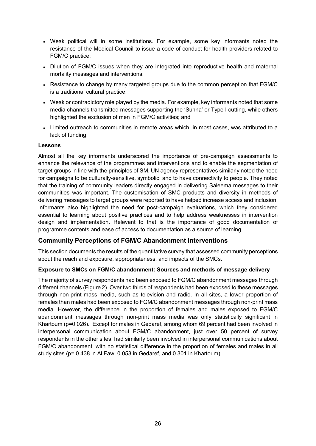- Weak political will in some institutions. For example, some key informants noted the resistance of the Medical Council to issue a code of conduct for health providers related to FGM/C practice;
- Dilution of FGM/C issues when they are integrated into reproductive health and maternal mortality messages and interventions;
- Resistance to change by many targeted groups due to the common perception that FGM/C is a traditional cultural practice;
- Weak or contradictory role played by the media. For example, key informants noted that some media channels transmitted messages supporting the 'Sunna' or Type I cutting, while others highlighted the exclusion of men in FGM/C activities; and
- Limited outreach to communities in remote areas which, in most cases, was attributed to a lack of funding.

#### **Lessons**

Almost all the key informants underscored the importance of pre-campaign assessments to enhance the relevance of the programmes and interventions and to enable the segmentation of target groups in line with the principles of SM. UN agency representatives similarly noted the need for campaigns to be culturally-sensitive, symbolic, and to have connectivity to people. They noted that the training of community leaders directly engaged in delivering Saleema messages to their communities was important. The customisation of SMC products and diversity in methods of delivering messages to target groups were reported to have helped increase access and inclusion. Informants also highlighted the need for post-campaign evaluations, which they considered essential to learning about positive practices and to help address weaknesses in intervention design and implementation. Relevant to that is the importance of good documentation of programme contents and ease of access to documentation as a source of learning.

### <span id="page-27-0"></span>**Community Perceptions of FGM/C Abandonment Interventions**

This section documents the results of the quantitative survey that assessed community perceptions about the reach and exposure, appropriateness, and impacts of the SMCs.

### **Exposure to SMCs on FGM/C abandonment: Sources and methods of message delivery**

The majority of survey respondents had been exposed to FGM/C abandonment messages through different channels (Figure 2). Over two thirds of respondents had been exposed to these messages through non-print mass media, such as television and radio. In all sites, a lower proportion of females than males had been exposed to FGM/C abandonment messages through non-print mass media. However, the difference in the proportion of females and males exposed to FGM/C abandonment messages through non-print mass media was only statistically significant in Khartoum (p=0.026). Except for males in Gedaref, among whom 69 percent had been involved in interpersonal communication about FGM/C abandonment, just over 50 percent of survey respondents in the other sites, had similarly been involved in interpersonal communications about FGM/C abandonment, with no statistical difference in the proportion of females and males in all study sites (p= 0.438 in Al Faw, 0.053 in Gedaref, and 0.301 in Khartoum).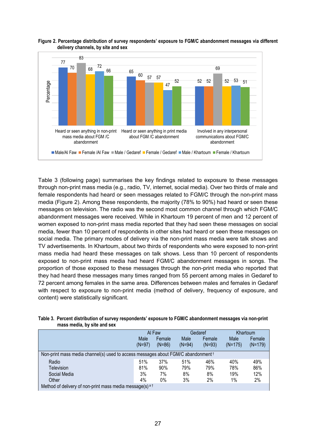

#### **Figure 2. Percentage distribution of survey respondents' exposure to FGM/C abandonment messages via different delivery channels, by site and sex**

Table 3 (following page) summarises the key findings related to exposure to these messages through non-print mass media (e.g., radio, TV, internet, social media). Over two thirds of male and female respondents had heard or seen messages related to FGM/C through the non-print mass media (Figure 2). Among these respondents, the majority (78% to 90%) had heard or seen these messages on television. The radio was the second most common channel through which FGM/C abandonment messages were received. While in Khartoum 19 percent of men and 12 percent of women exposed to non-print mass media reported that they had seen these messages on social media, fewer than 10 percent of respondents in other sites had heard or seen these messages on social media. The primary modes of delivery via the non-print mass media were talk shows and TV advertisements. In Khartoum, about two thirds of respondents who were exposed to non-print mass media had heard these messages on talk shows. Less than 10 percent of respondents exposed to non-print mass media had heard FGM/C abandonment messages in songs. The proportion of those exposed to these messages through the non-print media who reported that they had heard these messages many times ranged from 55 percent among males in Gedaref to 72 percent among females in the same area. Differences between males and females in Gedaref with respect to exposure to non-print media (method of delivery, frequency of exposure, and content) were statistically significant.

#### **Table 3. Percent distribution of survey respondents' exposure to FGM/C abandonment messages via non-print mass media, by site and sex**

|                                                                                              | Al Faw         |          |          | Gedaref  | Khartoum  |           |  |  |  |
|----------------------------------------------------------------------------------------------|----------------|----------|----------|----------|-----------|-----------|--|--|--|
|                                                                                              | Male<br>Female |          | Male     | Female   | Male      | Female    |  |  |  |
|                                                                                              | $(N=97)$       | $(N=86)$ | $(N=94)$ | $(N=93)$ | $(N=175)$ | $(N=179)$ |  |  |  |
| Non-print mass media channel(s) used to access messages about FGM/C abandonment <sup>†</sup> |                |          |          |          |           |           |  |  |  |
| Radio                                                                                        | 51%            | 37%      | 51%      | 46%      | 40%       | 49%       |  |  |  |
| <b>Television</b>                                                                            | 81%            | 90%      | 79%      | 79%      | 78%       | 86%       |  |  |  |
| Social Media                                                                                 | 3%             | 7%       | 8%       | 8%       | 19%       | 12%       |  |  |  |
| Other                                                                                        | 4%             | $0\%$    | 3%       | 2%       | 1%        | 2%        |  |  |  |
| Method of delivery of non-print mass media message(s) $a + b$                                |                |          |          |          |           |           |  |  |  |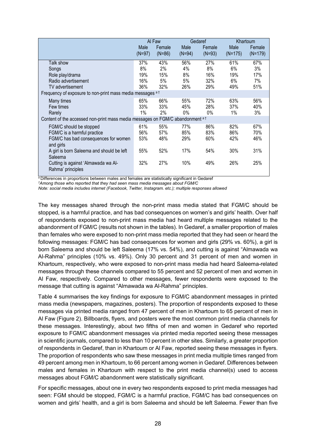|                                                                                |                  | Al Faw             |                  | Gedaref            |                   | Khartoum            |
|--------------------------------------------------------------------------------|------------------|--------------------|------------------|--------------------|-------------------|---------------------|
|                                                                                | Male<br>$(N=97)$ | Female<br>$(N=86)$ | Male<br>$(N=94)$ | Female<br>$(N=93)$ | Male<br>$(N=175)$ | Female<br>$(N=179)$ |
| Talk show                                                                      | 37%              | 43%                | 56%              | 27%                | 61%               | 67%                 |
| Songs                                                                          | 8%               | 2%                 | 4%               | 8%                 | 6%                | 3%                  |
| Role play/drama                                                                | 19%              | 15%                | 8%               | 16%                | 19%               | 17%                 |
| Radio advertisement                                                            | 16%              | 5%                 | 5%               | 32%                | 6%                | 7%                  |
| TV advertisement                                                               | 36%              | 32%                | 26%              | 29%                | 49%               | 51%                 |
| Frequency of exposure to non-print mass media messages a t                     |                  |                    |                  |                    |                   |                     |
| Many times                                                                     | 65%              | 66%                | 55%              | 72%                | 63%               | 56%                 |
| Few times                                                                      | 33%              | 33%                | 45%              | 28%                | 37%               | 40%                 |
| Rarely                                                                         | 1%               | 2%                 | 0%               | 0%                 | $1\%$             | 3%                  |
| Content of the accessed non-print mass media messages on FGM/C abandonment a t |                  |                    |                  |                    |                   |                     |
| FGM/C should be stopped                                                        | 61%              | 55%                | 77%              | 86%                | 82%               | 67%                 |
| FGM/C is a harmful practice                                                    | 56%              | 57%                | 85%              | 83%                | 86%               | 70%                 |
| FGM/C has bad consequences for women<br>and girls                              | 53%              | 48%                | 29%              | 60%                | 42%               | 46%                 |
| A girl is born Saleema and should be left<br>Saleema                           | 55%              | 52%                | 17%              | 54%                | 30%               | 31%                 |
| Cutting is against 'Almawada wa Al-<br>Rahma' principles                       | 32%              | 27%                | 10%              | 49%                | 26%               | 25%                 |

<sup>a</sup> Differences in proportions between males and females are statistically significant in Gedaref

*† Among those who reported that they had seen mass media messages about FGM/C*

*Note: social media includes internet (Facebook, Twitter, Instagram. etc.); multiple responses allowed*

The key messages shared through the non-print mass media stated that FGM/C should be stopped, is a harmful practice, and has bad consequences on women's and girls' health. Over half of respondents exposed to non-print mass media had heard multiple messages related to the abandonment of FGM/C (results not shown in the tables). In Gedaref, a smaller proportion of males than females who were exposed to non-print mass media reported that they had seen or heard the following messages: FGM/C has bad consequences for women and girls (29% vs. 60%), a girl is born Saleema and should be left Saleema (17% vs. 54%), and cutting is against "Almawada wa Al-Rahma" principles (10% vs. 49%). Only 30 percent and 31 percent of men and women in Khartoum, respectively, who were exposed to non-print mass media had heard Saleema-related messages through these channels compared to 55 percent and 52 percent of men and women in Al Faw, respectively. Compared to other messages, fewer respondents were exposed to the message that cutting is against "Almawada wa Al-Rahma" principles.

Table 4 summarises the key findings for exposure to FGM/C abandonment messages in printed mass media (newspapers, magazines, posters). The proportion of respondents exposed to these messages via printed media ranged from 47 percent of men in Khartoum to 65 percent of men in Al Faw (Figure 2). Billboards, flyers, and posters were the most common print media channels for these messages. Interestingly, about two fifths of men and women in Gedaref who reported exposure to FGM/C abandonment messages via printed media reported seeing these messages in scientific journals, compared to less than 10 percent in other sites. Similarly, a greater proportion of respondents in Gedaref, than in Khartoum or Al Faw, reported seeing these messages in flyers. The proportion of respondents who saw these messages in print media multiple times ranged from 49 percent among men in Khartoum, to 66 percent among women in Gedaref. Differences between males and females in Khartoum with respect to the print media channel(s) used to access messages about FGM/C abandonment were statistically significant.

For specific messages, about one in every two respondents exposed to print media messages had seen: FGM should be stopped, FGM/C is a harmful practice, FGM/C has bad consequences on women and girls' health, and a girl is born Saleema and should be left Saleema. Fewer than five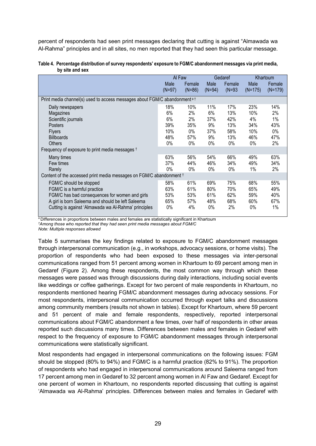percent of respondents had seen print messages declaring that cutting is against "Almawada wa Al-Rahma" principles and in all sites, no men reported that they had seen this particular message.

|                                                                                       | Al Faw         |                    |                  | Gedaref            |                   | Khartoum            |
|---------------------------------------------------------------------------------------|----------------|--------------------|------------------|--------------------|-------------------|---------------------|
|                                                                                       | Male<br>(N=97) | Female<br>$(N=86)$ | Male<br>$(N=94)$ | Female<br>$(N=93)$ | Male<br>$(N=175)$ | Female<br>$(N=179)$ |
|                                                                                       |                |                    |                  |                    |                   |                     |
| Print media channel(s) used to access messages about FGM/C abandonment <sup>a t</sup> |                |                    |                  |                    |                   |                     |
| Daily newspapers                                                                      | 18%            | 10%                | 11%              | 17%                | 23%               | 14%                 |
| Magazines                                                                             | 6%             | 2%                 | 6%               | 13%                | 10%               | 2%                  |
| Scientific journals                                                                   | 6%             | 2%                 | 37%              | 42%                | 4%                | 1%                  |
| <b>Posters</b>                                                                        | 39%            | 35%                | 9%               | 13%                | 34%               | 43%                 |
| <b>Flyers</b>                                                                         | 10%            | $0\%$              | 37%              | 58%                | 10%               | $0\%$               |
| <b>Billboards</b>                                                                     | 48%            | 57%                | 9%               | 13%                | 46%               | 47%                 |
| <b>Others</b>                                                                         | 0%             | $0\%$              | 0%               | $0\%$              | 0%                | 2%                  |
| Frequency of exposure to print media messages t                                       |                |                    |                  |                    |                   |                     |
| Many times                                                                            | 63%            | 56%                | 54%              | 66%                | 49%               | 63%                 |
| Few times                                                                             | 37%            | 44%                | 46%              | 34%                | 49%               | 34%                 |
| Rarely                                                                                | 0%             | $0\%$              | $0\%$            | $0\%$              | 1%                | 2%                  |
| Content of the accessed print media messages on FGM/C abandonment 1                   |                |                    |                  |                    |                   |                     |
| FGM/C should be stopped                                                               | 58%            | 61%                | 69%              | 75%                | 68%               | 55%                 |
| FGM/C is a harmful practice                                                           | 63%            | 61%                | 80%              | 70%                | 65%               | 49%                 |
| FGM/C has bad consequences for women and girls                                        | 53%            | 53%                | 61%              | 62%                | 59%               | 40%                 |
| A girl is born Saleema and should be left Saleema                                     | 65%            | 57%                | 48%              | 68%                | 60%               | 67%                 |
| Cutting is against 'Almawada wa Al-Rahma' principles                                  | 0%             | 4%                 | $0\%$            | 2%                 | 0%                | 1%                  |

**Table 4. Percentage distribution of survey respondents' exposure to FGM/C abandonment messages via print media, by site and sex** 

a Differences in proportions between males and females are statistically significant in Khartoum *† Among those who reported that they had seen print media messages about FGM/C Note: Multiple responses allowed*

Table 5 summarises the key findings related to exposure to FGM/C abandonment messages through interpersonal communication (e.g., in workshops, advocacy sessions, or home visits). The proportion of respondents who had been exposed to these messages via inter-personal communications ranged from 51 percent among women in Khartoum to 69 percent among men in Gedaref (Figure 2). Among these respondents, the most common way through which these messages were passed was through discussions during daily interactions, including social events like weddings or coffee gatherings. Except for two percent of male respondents in Khartoum, no respondents mentioned hearing FGM/C abandonment messages during advocacy sessions. For most respondents, interpersonal communication occurred through expert talks and discussions among community members (results not shown in tables). Except for Khartoum, where 59 percent and 51 percent of male and female respondents, respectively, reported interpersonal communications about FGM/C abandonment a few times, over half of respondents in other areas reported such discussions many times. Differences between males and females in Gedaref with respect to the frequency of exposure to FGM/C abandonment messages through interpersonal communications were statistically significant.

Most respondents had engaged in interpersonal communications on the following issues: FGM should be stopped (80% to 94%) and FGM/C is a harmful practice (82% to 91%). The proportion of respondents who had engaged in interpersonal communications around Saleema ranged from 17 percent among men in Gedaref to 32 percent among women in Al Faw and Gedaref. Except for one percent of women in Khartoum, no respondents reported discussing that cutting is against 'Almawada wa Al-Rahma' principles. Differences between males and females in Gedaref with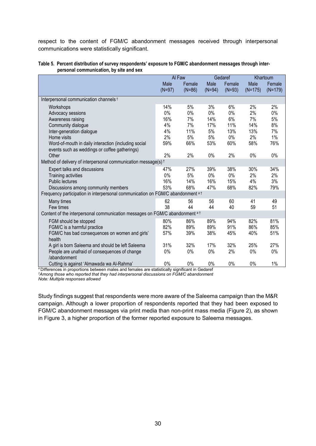respect to the content of FGM/C abandonment messages received through interpersonal communications were statistically significant.

|                                                                                 |          | Al Faw   |          | Gedaref  |           | Khartoum  |
|---------------------------------------------------------------------------------|----------|----------|----------|----------|-----------|-----------|
|                                                                                 | Male     | Female   | Male     | Female   | Male      | Female    |
|                                                                                 | $(N=97)$ | $(N=86)$ | $(N=94)$ | $(N=93)$ | $(N=175)$ | $(N=179)$ |
| Interpersonal communication channels t                                          |          |          |          |          |           |           |
| Workshops                                                                       | 14%      | $5\%$    | 3%       | 6%       | 2%        | 2%        |
| Advocacy sessions                                                               | 0%       | 0%       | 0%       | 0%       | 2%        | 0%        |
| Awareness raising                                                               | 16%      | 7%       | 14%      | 6%       | 7%        | 5%        |
| Community dialogue                                                              | 4%       | 7%       | 17%      | 11%      | 14%       | 8%        |
| Inter-generation dialogue                                                       | 4%       | 11%      | 5%       | 13%      | 13%       | 7%        |
| Home visits                                                                     | 2%       | 5%       | 5%       | $0\%$    | 2%        | 1%        |
| Word-of-mouth in daily interaction (including social                            | 59%      | 66%      | 53%      | 60%      | 58%       | 76%       |
| events such as weddings or coffee gatherings)                                   |          |          |          |          |           |           |
| Other                                                                           | 2%       | 2%       | 0%       | 2%       | $0\%$     | 0%        |
| Method of delivery of interpersonal communication message(s) <sup>t</sup>       |          |          |          |          |           |           |
| Expert talks and discussions                                                    | 47%      | 27%      | 39%      | 38%      | 30%       | 34%       |
| Training activities                                                             | $0\%$    | 5%       | 0%       | 0%       | 2%        | 2%        |
| <b>Public lectures</b>                                                          | 16%      | 14%      | 16%      | 15%      | 4%        | 3%        |
| Discussions among community members                                             | 53%      | 68%      | 47%      | 68%      | 82%       | 79%       |
| Frequency participation in interpersonal communication on FGM/C abandonment a t |          |          |          |          |           |           |
| Many times                                                                      | 62       | 56       | 56       | 60       | 41        | 49        |
| Few times                                                                       | 38       | 44       | 44       | 40       | 59        | 51        |
| Content of the interpersonal communication messages on FGM/C abandonment at     |          |          |          |          |           |           |
| FGM should be stopped                                                           | 80%      | 86%      | 89%      | 94%      | 82%       | 81%       |
| FGM/C is a harmful practice                                                     | 82%      | 89%      | 89%      | 91%      | 86%       | 85%       |
| FGM/C has bad consequences on women and girls'                                  | 57%      | 39%      | 38%      | 45%      | 40%       | 51%       |
| health                                                                          |          |          |          |          |           |           |
| A girl is born Saleema and should be left Saleema                               | 31%      | 32%      | 17%      | 32%      | 25%       | 27%       |
| People are unafraid of consequences of change                                   | 0%       | 0%       | 0%       | 2%       | $0\%$     | 0%        |
| /abandonment                                                                    |          |          |          |          |           |           |
| Cutting is against 'Almawada wa Al-Rahma'                                       | 0%       | 0%       | 0%       | 0%       | 0%        | $1\%$     |

#### **Table 5. Percent distribution of survey respondents' exposure to FGM/C abandonment messages through interpersonal communication, by site and sex**

<sup>a</sup> Differences in proportions between males and females are statistically significant in Gedaref *† Among those who reported that they had interpersonal discussions on FGM/C abandonment Note: Multiple responses allowed*

Study findings suggest that respondents were more aware of the Saleema campaign than the M&R campaign. Although a lower proportion of respondents reported that they had been exposed to FGM/C abandonment messages via print media than non-print mass media (Figure 2), as shown in Figure 3, a higher proportion of the former reported exposure to Saleema messages.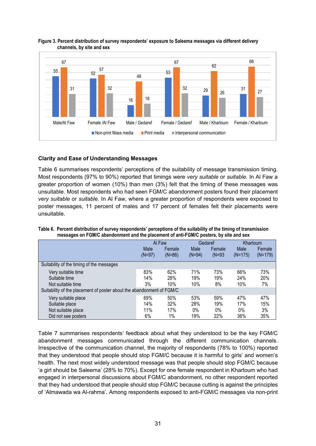

#### **Figure 3. Percent distribution of survey respondents' exposure to Saleema messages via different delivery channels, by site and sex**

### **Clarity and Ease of Understanding Messages**

Table 6 summarises respondents' perceptions of the suitability of message transmission timing. Most respondents (97% to 90%) reported that timings were *very suitable* or *suitable.* In Al Faw a greater proportion of women (10%) than men (3%) felt that the timing of these messages was unsuitable. Most respondents who had seen FGM/C abandonment posters found their placement *very suitable* or *suitable.* In Al Faw, where a greater proportion of respondents were exposed to poster messages, 11 percent of males and 17 percent of females felt their placements were unsuitable.

|                                                                       |          | Al Faw   |          | Gedaref  | Khartoum  |           |
|-----------------------------------------------------------------------|----------|----------|----------|----------|-----------|-----------|
|                                                                       | Male     | Female   | Male     | Female   | Male      | Female    |
|                                                                       | $(N=97)$ | $(N=86)$ | $(N=94)$ | $(N=93)$ | $(N=175)$ | $(N=179)$ |
| Suitability of the timing of the messages                             |          |          |          |          |           |           |
| Very suitable time                                                    | 83%      | 62%      | 71%      | 73%      | 66%       | 73%       |
| Suitable time                                                         | 14%      | 28%      | 19%      | 19%      | 24%       | 20%       |
| Not suitable time                                                     | 3%       | 10%      | 10%      | 8%       | 10%       | 7%        |
| Suitability of the placement of poster about the abandonment of FGM/C |          |          |          |          |           |           |
| Very suitable place                                                   | 69%      | 50%      | 53%      | 59%      | 47%       | 47%       |
| Suitable place                                                        | 14%      | 32%      | 28%      | 19%      | 17%       | 15%       |
| Not suitable place                                                    | 11%      | 17%      | $0\%$    | $0\%$    | $0\%$     | 3%        |
| Did not see posters                                                   | 6%       | 1%       | 19%      | 22%      | 36%       | 35%       |

**Table 6. Percent distribution of survey respondents' perceptions of the suitability of the timing of transmission messages on FGM/C abandonment and the placement of anti-FGM/C posters, by site and sex**

Table 7 summarises respondents' feedback about what they understood to be the key FGM/C abandonment messages communicated through the different communication channels. Irrespective of the communication channel, the majority of respondents (78% to 100%) reported that they understood that people should stop FGM/C because it is harmful to girls' and women's health. The next most widely understood message was that people should stop FGM/C because 'a girl should be Saleema' (28% to 70%). Except for one female respondent in Khartoum who had engaged in interpersonal discussions about FGM/C abandonment, no other respondent reported that they had understood that people should stop FGM/C because cutting is against the principles of 'Almawada wa Al-rahma'. Among respondents exposed to anti-FGM/C messages via non-print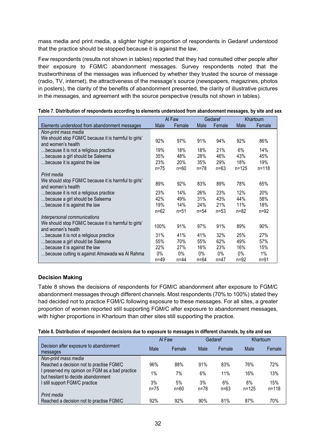mass media and print media, a slighter higher proportion of respondents in Gedaref understood that the practice should be stopped because it is against the law.

Few respondents (results not shown in tables) reported that they had consulted other people after their exposure to FGM/C abandonment messages. Survey respondents noted that the trustworthiness of the messages was influenced by whether they trusted the source of message (radio, TV, internet), the attractiveness of the message's source (newspapers, magazines, photos in posters), the clarity of the benefits of abandonment presented, the clarity of illustrative pictures in the messages, and agreement with the source perspective (results not shown in tables).

|                                                                            |          | Al Faw   |          | Gedaref  |           | Khartoum  |
|----------------------------------------------------------------------------|----------|----------|----------|----------|-----------|-----------|
| Elements understood from abandonment messages                              | Male     | Female   | Male     | Female   | Male      | Female    |
| Non-print mass media                                                       |          |          |          |          |           |           |
| We should stop FGM/C because it is harmful to girls'<br>and women's health | 92%      | 97%      | 91%      | 94%      | 92%       | 86%       |
| because it is not a religious practice                                     | 19%      | 18%      | 18%      | 21%      | 6%        | 14%       |
| because a girl should be Saleema                                           | 35%      | 48%      | 28%      | 46%      | 43%       | 45%       |
| because it is against the law                                              | 23%      | 20%      | 35%      | 29%      | 18%       | 19%       |
|                                                                            | $n = 75$ | $n=60$   | $n = 78$ | $n=63$   | $n = 125$ | $n = 118$ |
| Print media                                                                |          |          |          |          |           |           |
| We should stop FGM/C because it is harmful to girls'<br>and women's health | 89%      | 92%      | 83%      | 89%      | 78%       | 65%       |
| because it is not a religious practice                                     | 23%      | 14%      | 26%      | 23%      | 12%       | 20%       |
| because a girl should be Saleema                                           | 42%      | 49%      | 31%      | 43%      | 44%       | 58%       |
| because it is against the law                                              | 19%      | 14%      | 24%      | 21%      | 11%       | 18%       |
|                                                                            | $n = 62$ | $n = 51$ | $n = 54$ | $n=53$   | $n = 82$  | $n = 92$  |
| Interpersonal communications                                               |          |          |          |          |           |           |
| We should stop FGM/C because it is harmful to girls'<br>and women's health | 100%     | 91%      | 97%      | 91%      | 89%       | 90%       |
| because it is not a religious practice                                     | 31%      | 41%      | 41%      | 32%      | 25%       | 27%       |
| because a girl should be Saleema                                           | 55%      | 70%      | 55%      | 62%      | 49%       | 57%       |
| because it is against the law                                              | 22%      | 27%      | 16%      | 23%      | 16%       | 15%       |
| because cutting is against Almawada wa Al Rahma                            | $0\%$    | 0%       | $0\%$    | $0\%$    | $0\%$     | $1\%$     |
|                                                                            | $n = 49$ | $n = 44$ | $n = 64$ | $n = 47$ | $n = 92$  | $n = 91$  |

|  | Table 7. Distribution of respondents according to elements understood from abandonment messages, by site and sex |  |
|--|------------------------------------------------------------------------------------------------------------------|--|
|  |                                                                                                                  |  |

### **Decision Making**

Table 8 shows the decisions of respondents for FGM/C abandonment after exposure to FGM/C abandonment messages through different channels. Most respondents (70% to 100%) stated they had decided not to practice FGM/C following exposure to these messages. For all sites, a greater proportion of women reported still supporting FGM/C after exposure to abandonment messages, with higher proportions in Khartoum than other sites still supporting the practice.

| Table 8. Distribution of respondent decisions due to exposure to messages in different channels, by site and sex |  |  |  |
|------------------------------------------------------------------------------------------------------------------|--|--|--|
|------------------------------------------------------------------------------------------------------------------|--|--|--|

|                                                                                       | Al Faw   |          | Gedaref  |        | Khartoum  |           |
|---------------------------------------------------------------------------------------|----------|----------|----------|--------|-----------|-----------|
| Decision after exposure to abandonment<br>messages                                    | Male     | Female   | Male     | Female | Male      | Female    |
| Non-print mass media                                                                  |          |          |          |        |           |           |
| Reached a decision not to practise FGM/C                                              | 96%      | 88%      | 91%      | 83%    | 76%       | 72%       |
| I preserved my opinion on FGM as a bad practice<br>but hesitant to decide abandonment | 1%       | 7%       | 6%       | 11%    | 16%       | 13%       |
| I still support FGM/C practice                                                        | 3%       | 5%       | 3%       | 6%     | 8%        | 15%       |
|                                                                                       | $n = 75$ | $n = 60$ | $n = 78$ | $n=63$ | $n = 125$ | $n = 118$ |
| Print media                                                                           |          |          |          |        |           |           |
| Reached a decision not to practise FGM/C                                              | 92%      | 92%      | 90%      | 81%    | 87%       | 70%       |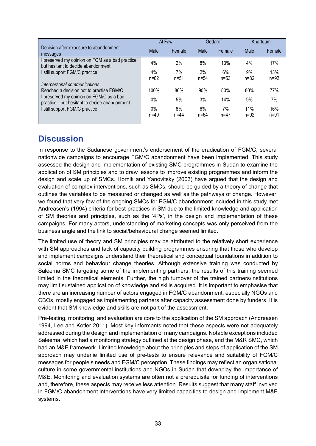|                                                                                         | Al Faw          |                | Gedaref        |                | Khartoum        |                 |
|-----------------------------------------------------------------------------------------|-----------------|----------------|----------------|----------------|-----------------|-----------------|
| Decision after exposure to abandonment<br>messages                                      | Male            | Female         | Male           | Female         | Male            | Female          |
| I preserved my opinion on FGM as a bad practice<br>but hesitant to decide abandonment   | 4%              | 2%             | 8%             | 13%            | 4%              | 17%             |
| I still support FGM/C practice                                                          | 4%<br>$n = 62$  | 7%<br>$n = 51$ | 2%<br>$n = 54$ | 6%<br>$n = 53$ | 9%<br>$n = 82$  | 13%<br>$n=92$   |
| Interpersonal communications<br>Reached a decision not to practise FGM/C                | 100%            | 86%            | 90%            | 80%            | 80%             | 77%             |
| I preserved my opinion on FGM/C as a bad<br>practice-but hesitant to decide abandonment | $0\%$           | 5%             | 3%             | 14%            | 9%              | 7%              |
| still support FGM/C practice                                                            | $0\%$<br>$n=49$ | 8%<br>$n = 44$ | 6%<br>$n = 64$ | 7%<br>$n = 47$ | 11%<br>$n = 92$ | 16%<br>$n = 91$ |

## <span id="page-34-0"></span>**Discussion**

In response to the Sudanese government's endorsement of the eradication of FGM/C, several nationwide campaigns to encourage FGM/C abandonment have been implemented. This study assessed the design and implementation of existing SMC programmes in Sudan to examine the application of SM principles and to draw lessons to improve existing programmes and inform the design and scale up of SMCs. Hornik and Yanovitsky (2003) have argued that the design and evaluation of complex interventions, such as SMCs, should be guided by a theory of change that outlines the variables to be measured or changed as well as the pathways of change. However, we found that very few of the ongoing SMCs for FGM/C abandonment included in this study met Andreasen's (1994) criteria for best-practices in SM due to the limited knowledge and application of SM theories and principles, such as the '4Ps', in the design and implementation of these campaigns. For many actors, understanding of marketing concepts was only perceived from the business angle and the link to social/behavioural change seemed limited.

The limited use of theory and SM principles may be attributed to the relatively short experience with SM approaches and lack of capacity building programmes ensuring that those who develop and implement campaigns understand their theoretical and conceptual foundations in addition to social norms and behaviour change theories. Although extensive training was conducted by Saleema SMC targeting some of the implementing partners, the results of this training seemed limited in the theoretical elements. Further, the high turnover of the trained partners/institutions may limit sustained application of knowledge and skills acquired. It is important to emphasise that there are an increasing number of actors engaged in FGM/C abandonment, especially NGOs and CBOs, mostly engaged as implementing partners after capacity assessment done by funders. It is evident that SM knowledge and skills are not part of the assessment.

Pre-testing, monitoring, and evaluation are core to the application of the SM approach (Andreasen 1994, Lee and Kotler 2011). Most key informants noted that these aspects were not adequately addressed during the design and implementation of many campaigns. Notable exceptions included Saleema, which had a monitoring strategy outlined at the design phase, and the M&R SMC, which had an M&E framework. Limited knowledge about the principles and steps of application of the SM approach may underlie limited use of pre-tests to ensure relevance and suitability of FGM/C messages for people's needs and FGM/C perception. These findings may reflect an organisational culture in some governmental institutions and NGOs in Sudan that downplay the importance of M&E. Monitoring and evaluation systems are often not a prerequisite for funding of interventions and, therefore, these aspects may receive less attention. Results suggest that many staff involved in FGM/C abandonment interventions have very limited capacities to design and implement M&E systems.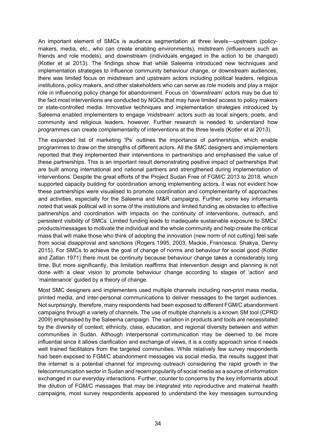An important element of SMCs is audience segmentation at three levels—upstream (policymakers, media, etc., who can create enabling environments), midstream (influencers such as friends and role models), and downstream (individuals engaged in the action to be changed) (Kotler et al 2013). The findings show that while Saleema introduced new techniques and implementation strategies to influence community behaviour change, or downstream audiences, there was limited focus on midstream and upstream actors including political leaders, religious institutions, policy makers, and other stakeholders who can serve as role models and play a major role in influencing policy change for abandonment. Focus on 'downstream' actors may be due to the fact most interventions are conducted by NGOs that may have limited access to policy makers or state-controlled media. Innovative techniques and implementation strategies introduced by Saleema enabled implementers to engage 'midstream' actors such as local singers, poets, and community and religious leaders, however. Further research is needed to understand how programmes can create complementarity of interventions at the three levels (Kotler et al 2013).

The expanded list of marketing 'Ps' outlines the importance of partnerships, which enable programmes to draw on the strengths of different actors. All the SMC designers and implementers reported that they implemented their interventions in partnerships and emphasised the value of these partnerships. This is an important result demonstrating positive impact of partnerships that are built among international and national partners and strengthened during implementation of interventions. Despite the great efforts of the Project Sudan Free of FGM/C 2013 to 2018, which supported capacity building for coordination among implementing actors, it was not evident how these partnerships were visualised to promote coordination and complementarity of approaches and activities, especially for the Saleema and M&R campaigns. Further, some key informants noted that weak political will in some of the institutions and limited funding as obstacles to effective partnerships and coordination with impacts on the continuity of interventions, outreach, and persistent visibility of SMCs. Limited funding leads to inadequate sustainable exposure to SMCs' products/messages to motivate the individual and the whole community and help create the critical mass that will make those who think of adopting the innovation (new norm of not cutting) feel safe from social disapproval and sanctions (Rogers 1995, 2003, Mackie, Francesca, Shakya, Denny 2015). For SMCs to achieve the goal of change of norms and behaviour for social good (Kotler and Zatlan 1971) there must be continuity because behaviour change takes a considerably long time. But more significantly, this limitation reaffirms that intervention design and planning is not done with a clear vision to promote behaviour change according to stages of 'action' and 'maintenance' guided by a theory of change.

Most SMC designers and implementers used multiple channels including non-print mass media, printed media, and inter-personal communications to deliver messages to the target audiences. Not surprisingly, therefore, many respondents had been exposed to different FGM/C abandonment campaigns through a variety of channels. The use of multiple channels is a known SM tool (CPRD 2009) emphasised by the Saleema campaign. The variation in products and tools are necessitated by the diversity of context; ethnicity, class, education, and regional diversity between and within communities in Sudan. Although interpersonal communication may be deemed to be more influential since it allows clarification and exchange of views, it is a costly approach since it needs well trained facilitators from the targeted communities. While relatively few survey respondents had been exposed to FGM/C abandonment messages via social media, the results suggest that the internet is a potential channel for improving outreach considering the rapid growth in the telecommunication sector in Sudan and recent popularity of social media as a source of information exchanged in our everyday interactions. Further, counter to concerns by the key informants about the dilution of FGM/C messages that may be integrated into reproductive and maternal health campaigns, most survey respondents appeared to understand the key messages surrounding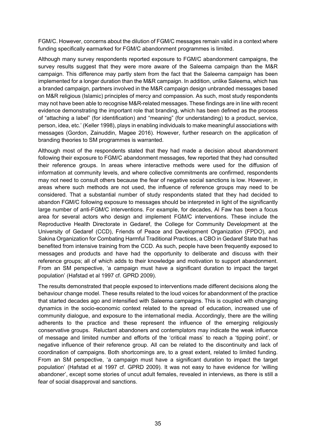FGM/C. However, concerns about the dilution of FGM/C messages remain valid in a context where funding specifically earmarked for FGM/C abandonment programmes is limited.

Although many survey respondents reported exposure to FGM/C abandonment campaigns, the survey results suggest that they were more aware of the Saleema campaign than the M&R campaign. This difference may partly stem from the fact that the Saleema campaign has been implemented for a longer duration than the M&R campaign. In addition, unlike Saleema, which has a branded campaign, partners involved in the M&R campaign design unbranded messages based on M&R religious (Islamic) principles of mercy and compassion. As such, most study respondents may not have been able to recognise M&R-related messages. These findings are in line with recent evidence demonstrating the important role that branding, which has been defined as the process of "attaching a label" (for identification) and "meaning" (for understanding) to a product, service, person, idea, etc.' (Keller 1998), plays in enabling individuals to make meaningful associations with messages (Gordon, Zainuddin, Magee 2016). However, further research on the application of branding theories to SM programmes is warranted.

Although most of the respondents stated that they had made a decision about abandonment following their exposure to FGM/C abandonment messages, few reported that they had consulted their reference groups. In areas where interactive methods were used for the diffusion of information at community levels, and where collective commitments are confirmed, respondents may not need to consult others because the fear of negative social sanctions is low. However, in areas where such methods are not used, the influence of reference groups may need to be considered. That a substantial number of study respondents stated that they had decided to abandon FGM/C following exposure to messages should be interpreted in light of the significantly large number of anti-FGM/C interventions. For example, for decades, Al Faw has been a focus area for several actors who design and implement FGM/C interventions. These include the Reproductive Health Directorate in Gedaref, the College for Community Development at the University of Gedaref (CCD), Friends of Peace and Development Organization (FPDO), and Sakina Organization for Combating Harmful Traditional Practices, a CBO in Gedaref State that has benefited from intensive training from the CCD. As such, people have been frequently exposed to messages and products and have had the opportunity to deliberate and discuss with their reference groups; all of which adds to their knowledge and motivation to support abandonment. From an SM perspective, 'a campaign must have a significant duration to impact the target population' (Hafstad et al 1997 cf. GPRD 2009).

The results demonstrated that people exposed to interventions made different decisions along the behaviour change model. These results related to the loud voices for abandonment of the practice that started decades ago and intensified with Saleema campaigns. This is coupled with changing dynamics in the socio-economic context related to the spread of education, increased use of community dialogue, and exposure to the international media. Accordingly, there are the willing adherents to the practice and these represent the influence of the emerging religiously conservative groups. Reluctant abandoners and contemplators may indicate the weak influence of message and limited number and efforts of the 'critical mass' to reach a 'tipping point', or negative influence of their reference group. All can be related to the discontinuity and lack of coordination of campaigns. Both shortcomings are, to a great extent, related to limited funding. From an SM perspective, 'a campaign must have a significant duration to impact the target population' (Hafstad et al 1997 cf. GPRD 2009). It was not easy to have evidence for 'willing abandoner', except some stories of uncut adult females, revealed in interviews, as there is still a fear of social disapproval and sanctions.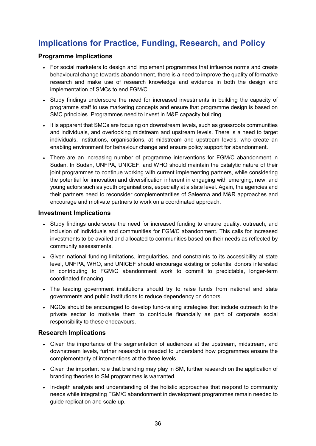## <span id="page-37-0"></span>**Implications for Practice, Funding, Research, and Policy**

### <span id="page-37-1"></span>**Programme Implications**

- For social marketers to design and implement programmes that influence norms and create behavioural change towards abandonment, there is a need to improve the quality of formative research and make use of research knowledge and evidence in both the design and implementation of SMCs to end FGM/C.
- Study findings underscore the need for increased investments in building the capacity of programme staff to use marketing concepts and ensure that programme design is based on SMC principles. Programmes need to invest in M&E capacity building.
- It is apparent that SMCs are focusing on downstream levels, such as grassroots communities and individuals, and overlooking midstream and upstream levels. There is a need to target individuals, institutions, organisations, at midstream and upstream levels, who create an enabling environment for behaviour change and ensure policy support for abandonment.
- There are an increasing number of programme interventions for FGM/C abandonment in Sudan. In Sudan, UNFPA, UNICEF, and WHO should maintain the catalytic nature of their joint programmes to continue working with current implementing partners, while considering the potential for innovation and diversification inherent in engaging with emerging, new, and young actors such as youth organisations, especially at a state level. Again, the agencies and their partners need to reconsider complementarities of Saleema and M&R approaches and encourage and motivate partners to work on a coordinated approach.

### <span id="page-37-2"></span>**Investment Implications**

- Study findings underscore the need for increased funding to ensure quality, outreach, and inclusion of individuals and communities for FGM/C abandonment. This calls for increased investments to be availed and allocated to communities based on their needs as reflected by community assessments.
- Given national funding limitations, irregularities, and constraints to its accessibility at state level, UNFPA, WHO, and UNICEF should encourage existing or potential donors interested in contributing to FGM/C abandonment work to commit to predictable, longer-term coordinated financing.
- The leading government institutions should try to raise funds from national and state governments and public institutions to reduce dependency on donors.
- NGOs should be encouraged to develop fund-raising strategies that include outreach to the private sector to motivate them to contribute financially as part of corporate social responsibility to these endeavours.

### <span id="page-37-3"></span>**Research Implications**

- Given the importance of the segmentation of audiences at the upstream, midstream, and downstream levels, further research is needed to understand how programmes ensure the complementarity of interventions at the three levels.
- Given the important role that branding may play in SM, further research on the application of branding theories to SM programmes is warranted.
- In-depth analysis and understanding of the holistic approaches that respond to community needs while integrating FGM/C abandonment in development programmes remain needed to guide replication and scale up.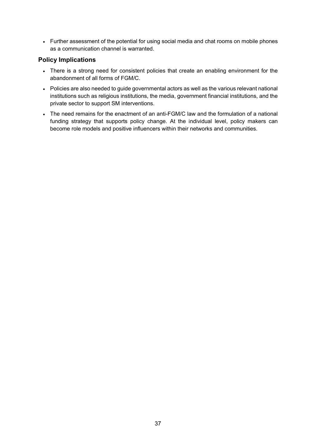• Further assessment of the potential for using social media and chat rooms on mobile phones as a communication channel is warranted.

## <span id="page-38-0"></span>**Policy Implications**

- There is a strong need for consistent policies that create an enabling environment for the abandonment of all forms of FGM/C.
- Policies are also needed to guide governmental actors as well as the various relevant national institutions such as religious institutions, the media, government financial institutions, and the private sector to support SM interventions.
- The need remains for the enactment of an anti-FGM/C law and the formulation of a national funding strategy that supports policy change. At the individual level, policy makers can become role models and positive influencers within their networks and communities.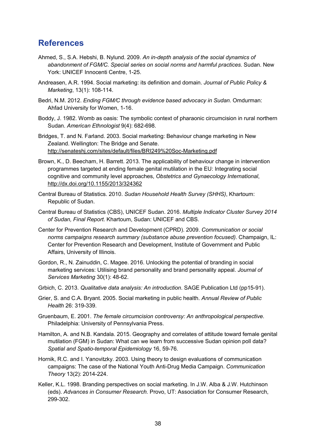## <span id="page-39-0"></span>**References**

- Ahmed, S., S.A. Hebshi, B. Nylund. 2009. *An in-depth analysis of the social dynamics of abandonment of FGM/C. Special series on social norms and harmful practices*. Sudan. New York: UNICEF Innocenti Centre, 1-25.
- Andreasen, A.R. 1994. Social marketing: its definition and domain. *Journal of Public Policy & Marketing*, 13(1): 108-114.
- Bedri, N.M. 2012. *Ending FGM/C through evidence based advocacy in Sudan*. Omdurman: Ahfad University for Women, 1-16.
- Boddy, J. 1982. Womb as oasis: The symbolic context of pharaonic circumcision in rural northern Sudan. *American Ethnologist* 9(4): 682-698.
- Bridges, T. and N. Farland. 2003. Social marketing: Behaviour change marketing in New Zealand. Wellington: The Bridge and Senate. <http://senateshj.com/sites/default/files/BRI249%20Soc-Marketing.pdf>
- Brown, K., D. Beecham, H. Barrett. 2013. The applicability of behaviour change in intervention programmes targeted at ending female genital mutilation in the EU: Integrating social cognitive and community level approaches, *Obstetrics and Gynaecology International*, <http://dx.doi.org/10.1155/2013/324362>
- Central Bureau of Statistics. 2010. *Sudan Household Health Survey (SHHS)*, Khartoum: Republic of Sudan.
- Central Bureau of Statistics (CBS), UNICEF Sudan. 2016. *Multiple Indicator Cluster Survey 2014 of Sudan, Final Report*. Khartoum, Sudan: UNICEF and CBS.
- Center for Prevention Research and Development (CPRD). 2009. *Communication or social norms campaigns research summary (substance abuse prevention focused)*. Champaign, IL: Center for Prevention Research and Development, Institute of Government and Public Affairs, University of Illinois.
- Gordon, R., N. Zainuddin, C. Magee. 2016. Unlocking the potential of branding in social marketing services: Utilising brand personality and brand personality appeal. *Journal of Services Marketing* 30(1): 48-62.
- Grbich, C. 2013. *Qualitative data analysis: An introduction*. SAGE Publication Ltd (pp15-91).
- Grier, S. and C.A. Bryant. 2005. Social marketing in public health. *Annual Review of Public Health* 26: 319-339.
- Gruenbaum, E. 2001. *The female circumcision controversy: An anthropological perspective*. Philadelphia: University of Pennsylvania Press.
- Hamilton, A. and N.B. Kandala. 2015. Geography and correlates of attitude toward female genital mutilation (FGM) in Sudan: What can we learn from successive Sudan opinion poll data? *Spatial and Spatio-temporal Epidemiology* 16, 59-76.
- Hornik, R.C. and I. Yanovitzky. 2003. Using theory to design evaluations of communication campaigns: The case of the National Youth Anti-Drug Media Campaign. *Communication Theory* 13(2): 2014-224.
- Keller, K.L. 1998. Branding perspectives on social marketing. In J.W. Alba & J.W. Hutchinson (eds). *Advances in Consumer Research.* Provo, UT: Association for Consumer Research, 299-302.